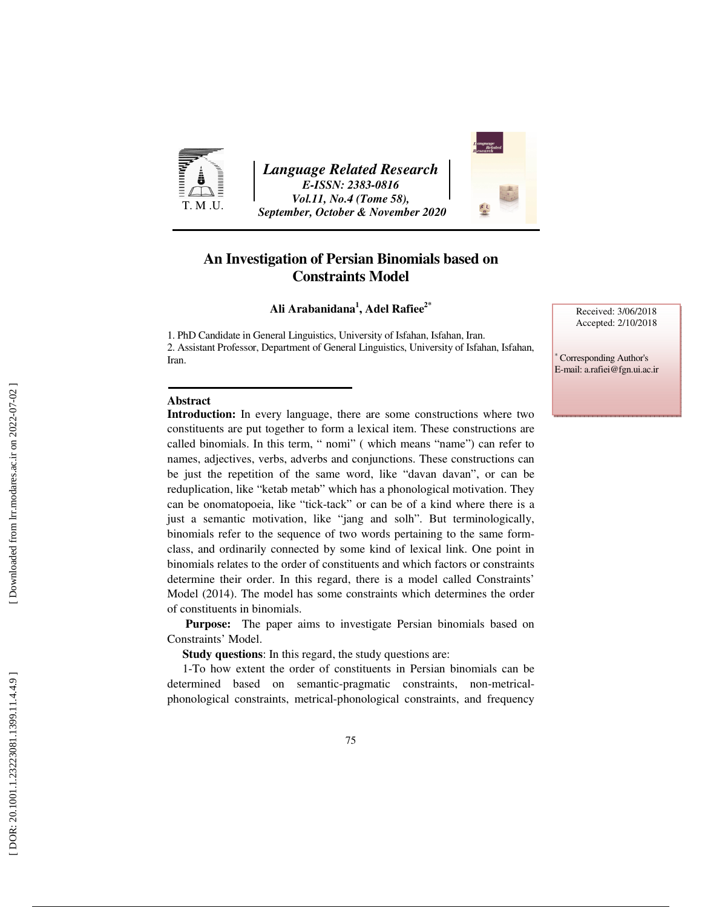

*Language Related Research E-ISSN: 2383-0816 Vol.11, No.4 (Tome 58), September, October & November 2020* 



**Ali Arabanidana 1 , Adel Rafiee2\***

1. PhD Candidate in General Linguistics, University of Isfahan, Isfahan, Iran. 2. Assistant Professor, Department of General Linguistics, University of Isfahan, Isfahan, Iran.

#### **Abstract**

**Introduction:** In every language, there are some constructions where two constituents are put together to form a lexical item. These constructions are called binomials. In this term, " nomi" ( which means "name") can refer to names, adjectives, verbs, adverbs and conjunctions. These constructions can be just the repetition of the same word, like "davan davan", or can be reduplication, like "ketab metab" which has a phonological motivation. They can be onomatopoeia, like "tick-tack" or can be of a kind where there is a just a semantic motivation, like "jang and solh". But terminologically, binomials refer to the sequence of two words pertaining to the same formclass, and ordinarily connected by some kind of lexical link. One point in binomials relates to the order of constituents and which factors or constraints determine their order. In this regard, there is a model called Constraints' Model (2014). The model has some constraints which determines the order of constituents in binomials.

**Purpose:** The paper aims to investigate Persian binomials based on Constraints' Model.

**Study questions**: In this regard, the study questions are:

1-To how extent the order of constituents in Persian binomials can be determined based on semantic-pragmatic constraints, non-metricalphonological constraints, metrical-phonological constraints, and frequency

Received: 3/06/2018 Accepted: 2/10/2018

∗ Corresponding Author's E-mail: a.rafiei@fgn.ui.ac.ir

Downloaded from lrr.modares.ac.ir on 2022-07-02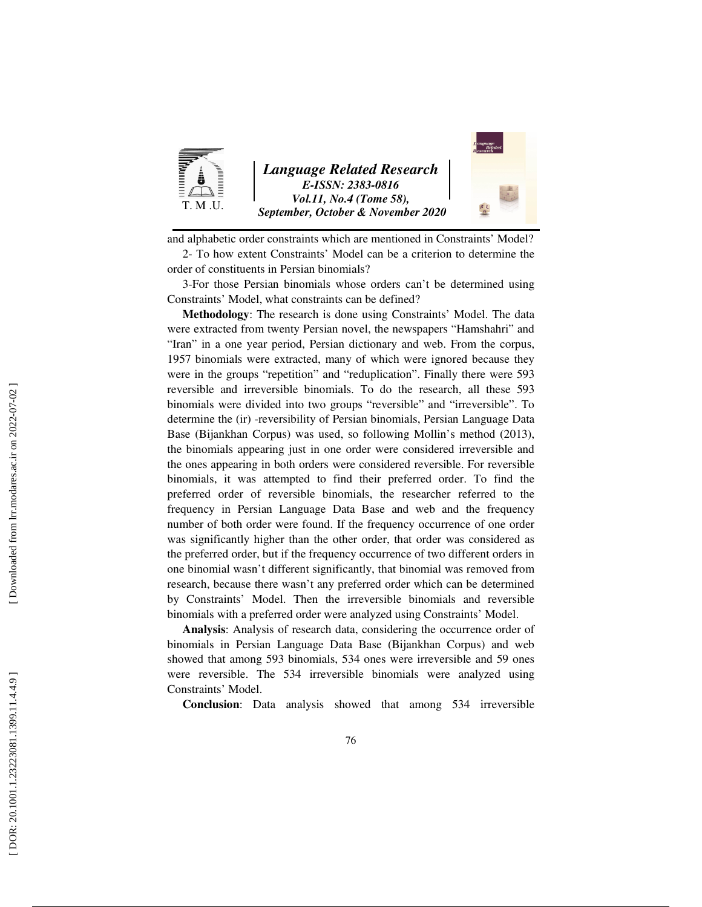

and alphabetic order constraints which are mentioned in Constraints' Model?

2- To how extent Constraints' Model can be a criterion to determine the order of constituents in Persian binomials?

3-For those Persian binomials whose orders can't be determined using Constraints' Model, what constraints can be defined?

**Methodology**: The research is done using Constraints' Model. The data were extracted from twenty Persian novel, the newspapers "Hamshahri" and "Iran" in a one year period, Persian dictionary and web. From the corpus, 1957 binomials were extracted, many of which were ignored because they were in the groups "repetition" and "reduplication". Finally there were 593 reversible and irreversible binomials. To do the research, all these 593 binomials were divided into two groups "reversible" and "irreversible". To determine the (ir) -reversibility of Persian binomials, Persian Language Data Base (Bijankhan Corpus) was used, so following Mollin's method (2013), the binomials appearing just in one order were considered irreversible and the ones appearing in both orders were considered reversible. For reversible binomials, it was attempted to find their preferred order. To find the preferred order of reversible binomials, the researcher referred to the frequency in Persian Language Data Base and web and the frequency number of both order were found. If the frequency occurrence of one order was significantly higher than the other order, that order was considered as the preferred order, but if the frequency occurrence of two different orders in one binomial wasn't different significantly, that binomial was removed from research, because there wasn't any preferred order which can be determined by Constraints' Model. Then the irreversible binomials and reversible binomials with a preferred order were analyzed using Constraints' Model.

**Analysis**: Analysis of research data, considering the occurrence order of binomials in Persian Language Data Base (Bijankhan Corpus) and web showed that among 593 binomials, 534 ones were irreversible and 59 ones were reversible. The 534 irreversible binomials were analyzed using Constraints' Model.

**Conclusion**: Data analysis showed that among 534 irreversible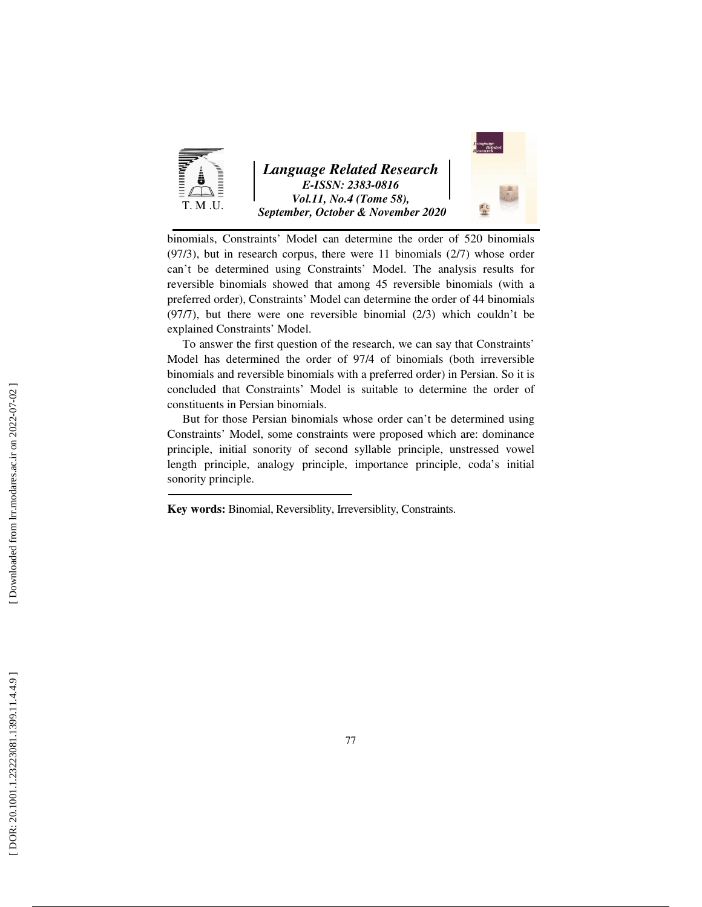

*Language Related Research E-ISSN: 2383-0816 Vol.11, No.4 (Tome 58), September, October & November 2020* 



binomials, Constraints' Model can determine the order of 520 binomials (97/3), but in research corpus, there were 11 binomials (2/7) whose order can't be determined using Constraints' Model. The analysis results for reversible binomials showed that among 45 reversible binomials (with a preferred order), Constraints' Model can determine the order of 44 binomials (97/7), but there were one reversible binomial (2/3) which couldn't be explained Constraints' Model.

To answer the first question of the research, we can say that Constraints' Model has determined the order of 97/4 of binomials (both irreversible binomials and reversible binomials with a preferred order) in Persian. So it is concluded that Constraints' Model is suitable to determine the order of constituents in Persian binomials.

But for those Persian binomials whose order can't be determined using Constraints' Model, some constraints were proposed which are: dominance principle, initial sonority of second syllable principle, unstressed vowel length principle, analogy principle, importance principle, coda's initial sonority principle.

**Key words:** Binomial, Reversiblity, Irreversiblity, Constraints.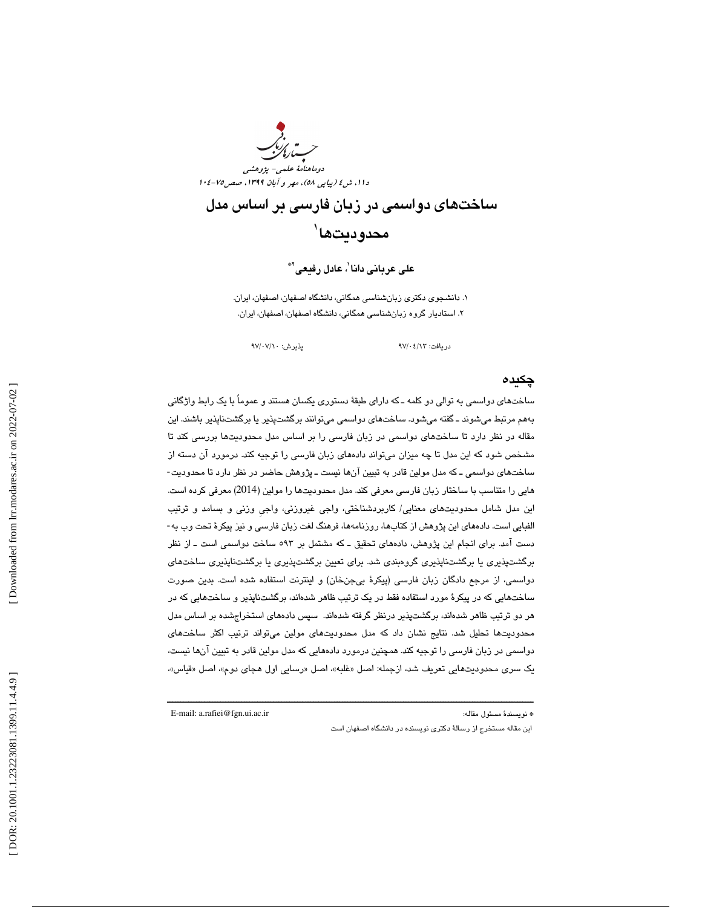

ساختهاي دواسمي در زبان فارسي بر اساس مدل محدوديتها`

على عربانى دانا $'$ ، عادل رفيعى $^{\ast}$ 

. دانشجوي دكتري زبانشناسي همگاني، دانشگاه اصفهان، اصفهان، ايران. 1 . استاديار گروه زبانشناسي همگاني، دانشگاه اصفهان، اصفهان، ايران. 2

دريافت: 13/ 04/ 97 پذيرش: 10/ 07/ 97

#### چكيده

ساختهاي دواسمي به توالي دو كلمه ـ كه داراي طبقة دستوري يكسان هستند و عموماً با يك رابط واژگاني بههم مرتبط میشوند ـ گفته میشود. ساختهای دواسمی میتوانند برگشت:پذیر یا برگشتناپذیر باشند. این مقاله در نظر دارد تا ساختهاي دواسمي در زبان فارسي را بر اساس مدل محدوديتها بررسي كند تا مشخص شود كه اين مدل تا چه ميزان ميتواند دادههاي زبان فارسي را توجيه كند. درمورد آن دسته از ساختهاي دواسمي ـ كه مدل مولين قادر به تبيين آنها نيست ـ پژوهش حاضر در نظر دارد تا محدوديت- هايي را متناسب با ساختار زبان فارسي معرفي كند. مدل محدوديتها را مولين (2014) معرفي كرده است. اين مدل شامل محدوديت هاي معنايي/ كاربردشناختي، واجي غيروزني، واجي وزني و بسامد و ترتيب - الفبايي است. دادههاي اين پژوهش از كتاب ها، روزنامه ها، فرهنگ لغت زبان فارسي و نيز پيكرة تحت وب به دست آمد. برای انجام این پژوهش، دادههای تحقیق ـ كه مشتمل بر ٥٩٣ ساخت دواسمی است ـ از نظر برگشتپذيري يا برگشتناپذيري گروهبندي شد. براي تعيين برگشتپذيري يا برگشتناپذيري ساختهاي دواسمي، از مرجع دادگان زبان فارسي (پيكرهٔ بيجنخان) و اينترنت استفاده شده است. بدين صورت ساختهايي كه در پيكرهٔ مورد استفاده فقط در يک ترتيب ظاهر شدهاند، برگشتناپذير و ساختهايي كه در هر دو ترتیب ظاهر شدهاند، برگشتپذیر درنظر گرفته شدهاند. سپس دادههای استخراجشده بر اساس مدل محدوديتها تحليل شد. نتايج نشان داد كه مدل محدوديتهاى مولين مىتواند ترتيب اكثر ساختهاى دواسمي در زبان فارسي را توجيه كند. همچنين درمورد دادههايي كه مدل مولين قادر به تبيين آنها نيست، يک سری محدوديتهايي تعريف شد، ازجمله: اصل «غلبه»، اصل «رسايي اول هجای دوم»، اصل «قياس»،

ــــــــــــــــــــــــــــــــــــــــــــــــــــــــــــــــــــــــــــــــــــــــــــــــــــــــــــــــــــــــــــــــــــــــــ

E-mail: a.rafiei@fgn.ui.ac.ir :مقاله مسئول نويسندة\*

اين مقاله مستخرج از رسالة دكتري نويسنده در دانشگاه اصفهان است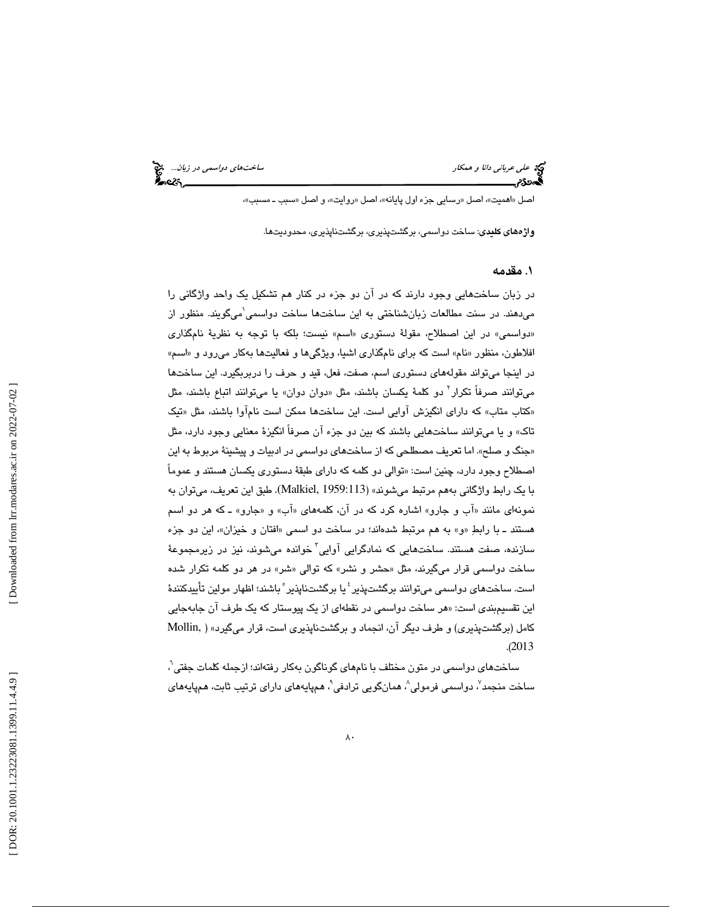علي *عرباني دانا و همكار ساختهاي دواسمي در زبان*... الميخ<br>المحمد دوم ساخته العربي دوراستان.<br>**المحمد دوم ساخته العربي دول دوم ساخته العربي دوم العربي دوم العربي و دوم العربي و العربي العربي العربي و العرب** 

اصل «اهميت»، اصل «رسايي جزء اول پايانه»، اصل «روايت»، و اصل «سبب ــ مسبب»،

واژههای كليدی: ساخت دواسمي، برگشتپذيري، برگشتناپذيري، محدوديتها.

#### . 1 مقدمه

در زبان ساختهايي وجود دارند كه در ان دو جزء در كنار هم تشكيل يک واحد واژگاني را میدهند. در سنت مطالعات زبانشناختی به این ساختها ساخت دواسمی`میگویند. منظور از «دواسمي» در اين اصطلاح، مقولهٔ دستوری «اسم» نيست؛ بلکه با توجه به نظريهٔ نامگذاری افلاطون، منظور «نام» است كه براي نامگذاري اشيا، ويژگي ها و فعاليتها بهكار مي رود و «اسم» در اينجا مىتواند مقولههاى دستورى اسم، صفت، فعل، قيد و حرف را دربربگيرد. اين ساختها میتوانند صرفاً تکرار<sup>٬</sup> دو کلمهٔ یکسان باشند، مثل «دوان دوان» یا میتوانند اتباع باشند، مثل «كتاب متاب» كه دارای انگیزش اوایی است. این ساختها ممكن است نام۱وا باشند، مثل «تیک تاك» و يا ميتوانند ساختهايي باشند كه بين دو جزء آن صرفاً انگيزهٔ معنايي وجود دارد، مثل «جنگ و صلح». اما تعريف مصطلحي كه از ساختهاي دواسمي در ادبيات و پيشينهٔ مربوط به اين اصطلاح وجود دارد، چنین است: «توالی دو کلمه که دارای طبقهٔ دستوری یکسان هستند و عموماً با يک رابط واژگاني بههم مرتبط ميشوند» (Malkiel, 1959:113). طبق اين تعريف، ميتوان به نمونهای مانند «آب و جارو» اشاره كرد كه در آن، كلمههای «آب» و «جارو» ـ كه هر دو اسم هستند با ـ رابط به »و« هم مرتبط شدهاند؛ در ساخت دو اسمي « افتان و خيزان ،» اين دو جزء 3 سازنده، صفت هستند. ساختهايي كه نمادگرايي آوايي خوانده ميشوند، نيز در زيرمجموعة ساخت دواسمي قرار ميگيرند، مثل « حشر و نشر » كه توالي « »شر در هر دو كلمه تكرار شده است. ساختهای دواسمی میتوانند برگشتپذیر ٔ یا برگشتناپذیر ْ باشند؛ اظهار مولین تأییدکنندهٔ این تقسیمبن*دی* است: «هر ساخت دواسمی در نقطهای از یک پیوستار که یک طرف ان جابهجایی كامل (برگشتپذيري) و طرف ديگر آن، انجماد و برگشتناپذيري است، قرار ميگيرد» ( Mollin, .( 2013

ساختهای دواسمی در متون مختلف با نامهای گوناگون بهکار رفتهاند؛ ازجمله كلمات جفتی $\langle \cdot \rangle$ ساخت منجمد ؒ، دواسمی فرمولی ؒ، همانگویی ترادفی ؒ، همپایههای دارای ترتیب ثابت، همپایههای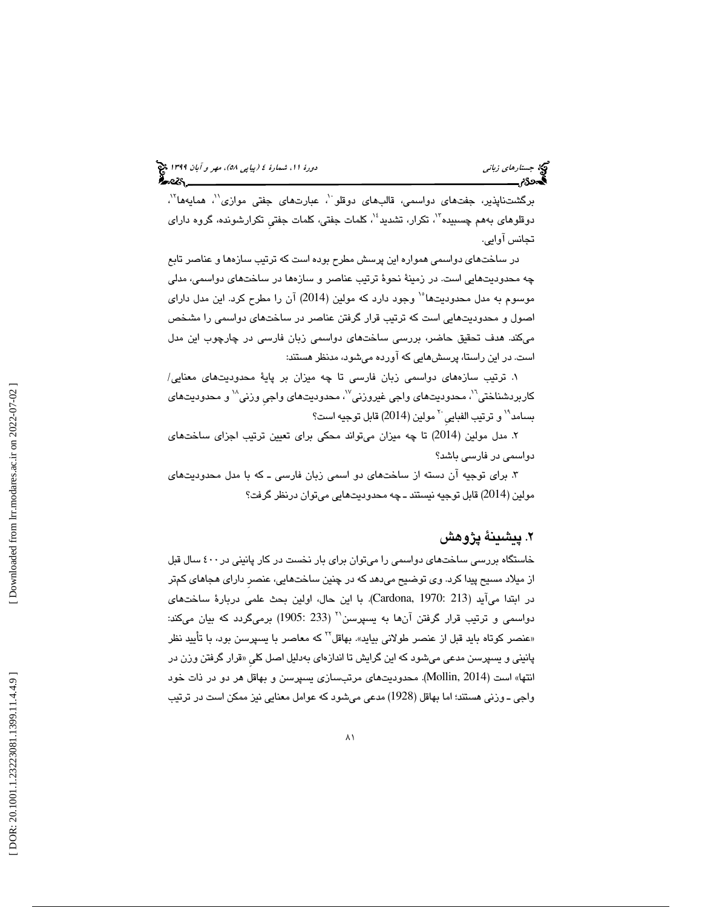برگشتناپذیر، جفتهای دواسمی، قالبهای دوقلو``، عبارتهای جفتی موازی``، همایهها``، دوقلوهای بههم چسبیده<sup>۱۳</sup>، تکرار، تشدید<sup>؛ ۱</sup>، کلمات جفتی، کلمات جفتی تکرارشونده، گروه دارای تجانس آوايي.

در ساختهاي دواسمي همواره اين پرسش مطرح بوده است كه ترتيب سازهها و عناصر تابع چه محدوديتهايي است. در زمينة نحوة ترتيب عناصر و سازه ها در ساختهاي دواسمي، مدلي موسوم به مدل محدوديتها" وجود دارد كه مولين (2014) آن را مطرح كرد. اين مدل داراي اصول و محدوديتهايي است كه ترتيب قرار گرفتن عناصر در ساختهاي دواسمي را مشخص ميكند. هدف تحقيق حاضر، بررسي ساخت هاي دواسمي زبان فارسي در چارچوب اين مدل است. در این راستا، پرسشهایی كه آورده میشود، مدنظر هستند:

۱. ترتيب سازههای دواسمی زبان فارسی تا چه ميزان بر پايهٔ محدوديتهای معنايی/ کاربردشناختی<sup>יי</sup>، محدودیتهای واجی غیروزنی<sup>۷</sup>'، محدودیتهای واجی وزنی<sup>۱۸</sup> و محدودیتهای بسـامد<sup>١</sup>٩ و ترتيب الفبايي <sup>٢٠</sup> مولين (2014) قابل توجيه است؟

٢. مدل مولين (2014) تا چه ميزان مىتواند محكى براى تعيين ترتيب اجزاى ساختهاى دواسمی در فارسی باشد؟

۳. براي توجيه آن دسته از ساختهاي دو اسمي زبان فارسي ـ كه با مدل محدوديتهاي مولين (2014) قابل توجيه نيستند ـ چه محدوديتهايي ميتوان درنظر گرفت؟

### . 2 پيشينة پژوهش

خاستگاه بررسی ساختهای دواسمی را میتوان برای بار نخست در كار پانینی در ٤٠٠ سال قبل از ميلاد مسيح پيدا كرد. وي توضيح ميدهد كه در چنين ساختهايي، عنصر داراي هجاهاي كمتر در ابتدا مي آيد (Cardona, 1970: 213). با اين حال، اولين بحث علمي دربارة ساختهاي  $_2$ دواسمی و ترتیب قرار گرفتن آنها به یسپرسن $^\prime^\prime$  (233 :1905) برمیگردد که بیان میکند: «عنصر كوتاه بايد قبل از عنصر طولانی بيايد». بهاقل<sup>۲۲</sup> كه معاصر با يسپرسن بود، با تأييد نظر پانینی و یسپرسن مدعی میشود که این گرایش تا اندازهای بهدلیل اصل کلی «قرار گرفتن وزن در انتها» است (Mollin, 2014). محدوديتهاى مرتبسازى يسپرسن و بهاقل هر دو در ذات خود واجی ــ وزنی هستند؛ اما بهاقل (1928) مدعی میشود که عوامل معنایی نیز ممکن است در ترتیب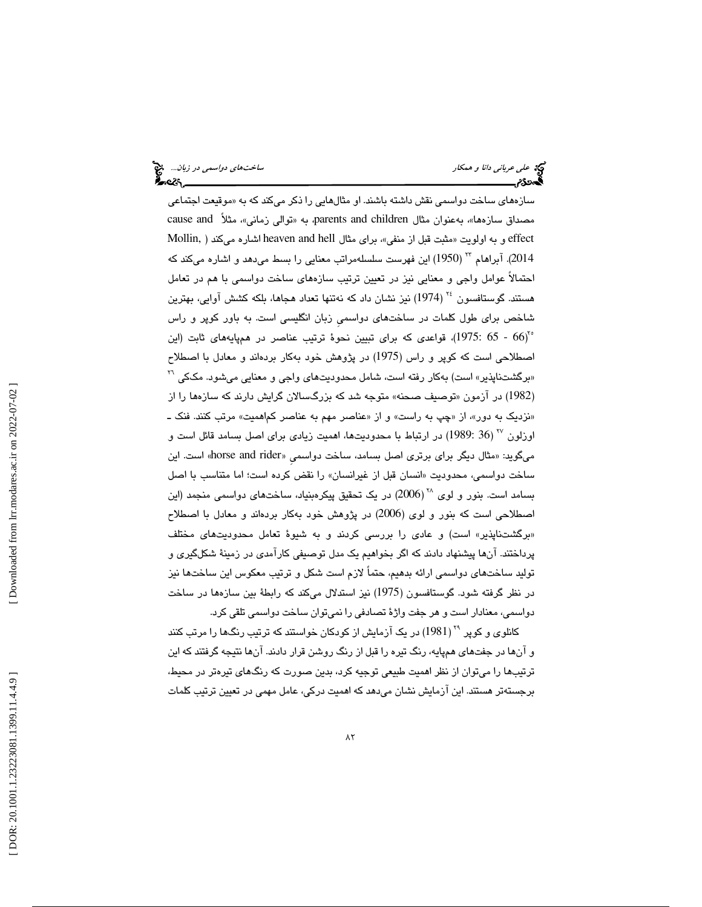# علي عرباني دانا و همكار ساختهاي دواسمي در زبان...

سازههای ساخت دواسمی نقش داشته باشند. او مثالهایی را ذکر میکند که به «موقیعت اجتماعی مصداق سازهها»، بەعنوان مثال parents and children به «توالی زمانی»، مثلاً cause and effect و به اولويت «مثبت قبل از منفى»، براي مثال heaven and hell اشاره ميكند ( Mollin, ابراهام \*\* (1950) اين فهرست سلسلهمراتب معنايي را بسط ميدهد و اشاره ميكند كه  $2014\,$ احتمالاً عوامل واجي و معنايي نيز در تعيين ترتيب سازههاي ساخت دواسمي با هم در تعامل هستند. گوستافسون <sup>۲۶</sup> (1974) نیز نشان داد كه نهتنها تعداد هجاها، بلكه كشش آوایی، بهترین شاخص برای طول کلمات در ساختهای دواسمی زبان انگلیسی است. به باور کوپر و راس (66 - 65 :1975)، قواعدی كه برای تبیین نحوهٔ ترتیب عناصر در همپایههای ثابت (این $(1975 \colon 65$ اصطلاحی است كه كوپر و راس (1975) در پژوهش خود بهكار بردهاند و معادل با اصطلاح «برگشتناپذیر» است) بهکار رفته است، شامل محدودیتهای واجی و معنایی میشود. مککی <sup>۲۲</sup> (1982) در آزمون «توصیف صحنه» متوجه شد كه بزرگسالان گرایش دارند كه سازهها را از «نزدیک به دور»، از «چپ به راست» و از «عناصر مهم به عناصر کماهمیت» مرتب کنند. فنک ــ اوزلون <sup>77</sup> (36 :1989) در ارتباط با محدودیتها، اهمیت زیادی برای اصل بسامد قائل است و میگويد: «مثال ديگر برای برتری اصل بسامد، ساخت دواسمي «horse and rider» است. اين ساخت دواسمي، محدوديت «انسان قبل از غيرانسان» را نقض كرده است؛ اما متناسب با اصل بسامد است. بنور و لوی <sup>۲۸</sup> (2006) در يک تحقيق پيکرهبنياد، ساختهای دواسمی منجمد (اين اصطلاحی است كه بنور و لوی (2006) در پژوهش خود بهكار بردهاند و معادل با اصطلاح «برگشتناپذير» است) و عا*دی* را بررسی کردند و به شيوهٔ تعامل محدوديتهای مختلف پرداختند. انها پیشنهاد دادند كه اگر بخواهیم یک مدل توصیفی کارامدی در زمینهٔ شکلگیری و توليد ساختهاى دواسمي ارائه بدهيم، حتماً لازم است شكل و ترتيب معكوس اين ساختها نيز در نظر گرفته شود. گوستافسون (1975) نيز استدلال مىكند كه رابطهٔ بين سازهها در ساخت دواسمي، معنادار است و هر جفت واژهٔ تصادفی را نمیتوان ساخت دواسمی تلقی كرد.

كانل*وی* و كوپر <sup>۲۹</sup> (1981) در یک آزمایش از كودكان خواستند كه ترتیب رنگـها را مرتب كنند و آنها در جفتهای همپایه، رنگ تیره را قبل از رنگ روشن قرار دادند. آنها نتیجه گرفتند كه این ترتيبها را ميتوان از نظر اهميت طبيعي توجيه كرد، بدين صورت كه رنگهاي تيرهتر در محيط، برجستهتر هستند. این ازمایش نشان میدهد که اهمیت درکی، عامل مهمی در تعیین ترتیب کلمات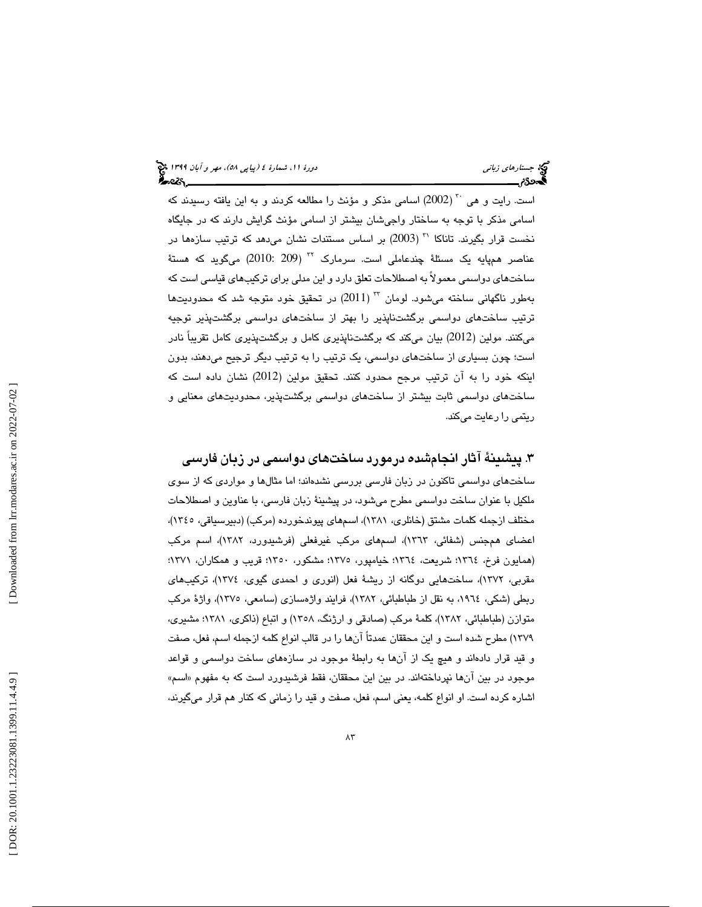است. رايت و هى <sup>٢٠</sup> (2002) اسامى مذكر و مؤنث را مطالعه كردند و به اين يافته رسيدند كه اسامی مذکر با توجه به ساختار واجیشان بیشتر از اسامی مؤنث گرایش دارند که در جایگاه نخست قرار بگیرند. تاناکا `` (2003) بر اساس مستندات نشان میدهد که ترتیب سازهها در عناصر همپایه یک مسئلهٔ چندعاملی است. سرمارک <sup>۳۲</sup> (2010: 209) میگوید که هستهٔ ساختهای دواسمی معمولاً به اصطلاحات تعلق دارد و این مدلی برای ترکیبهای قیاسی است که بهطور ناگهانی ساخته میشود. لومان  $^{77}$   $(2011)$  در تحقیق خود متوجه شد که محدودیتها ترتيب ساختهای دواسمی برگشتناپذير را بهتر از ساختهای دواسمی برگشتپذير توجيه میكنند. مولین (2012) بیان میكند كه برگشتناپذیری كامل و برگشتپذیری كامل تقریباً نادر است؛ چون بسیاری از ساختهای دواسمی، یک ترتیب را به ترتیب دیگر ترجیح میدهند، بدون اينكه خود را به آن ترتيب مرجح محدود كنند. تحقيق مولين (2012) نشان داده است كه ساخت های دواسمی ثابت بيشتر از ساختهای دواسمی برگشتپذير، محدوديتهای معنايی و ريتمي را رعايت ميكند.

. 3 پيشينة آثار انجامشده درمورد ساختهاي دواسمي در زبان فارسي ساختهاي دواسمي تاكنون در زبان فارسي بررسي نشدهاند؛ اما مثال و ها موار دي كه از سوي ملكيل با عنوان ساخت دواسمي مطرح ميشود، در پيشينة زبان فارسي، با عناوين و اصطلاحات مختلف ازجمله كلمات مشتق (خانلري، ۱۳۸۱)، اسمهاي پيوندخورده (مركب) (دبيرسياقي، ١٣٤٥)، اعضای همجنس (شفائی، ١٣٦٣)، اسمهای مرکب غیرفعلی (فرشیدورد، ١٣٨٢)، اسم مرکب (همايون فرخ، ١٣٦٤؛ شريعت، ١٣٦٤؛ خيامپور، ١٣٧٥؛ مشكور، ١٣٥٠؛ قريب و همكاران، ١٣٧١؛ مقربی، ۱۳۷۲)، ساختهایی دوگانه از ریشهٔ فعل (انوری و احمدی گیوی، ۱۳۷٤)، ترکیبهای ربطي (شكي، ١٩٦٤، به نقل از طباطبائي، ١٣٨٢)، فرايند واژهسازي (سامعي، ١٣٧٥)، واژهٔ مركب متوازن (طباطبائي، ١٣٨٢)، كلمهٔ مركب (صادقي و ارژنگ، ١٣٥٨) و اتباع (ذاكري، ١٣٨١؛ مشيري، ١٣٧٩) مطرح شده است و اين محققان عمدتاً آنها را در قالب انواع كلمه ازجمله اسم، فعل، صفت و قيد قرار دادهاند و هيچ يک از آنها به رابطهٔ موجود در سازههاي ساخت دواسمي و قواعد موجود در بين آنها نپرداختهاند. در بين اين محققان، فقط فرشيدورد است كه به مفهوم «اسم» اشاره كرده است. او انواع كلمه، يعني اسم، فعل، صفت و قيد را زماني كه كنار هم قرار ميگيرند،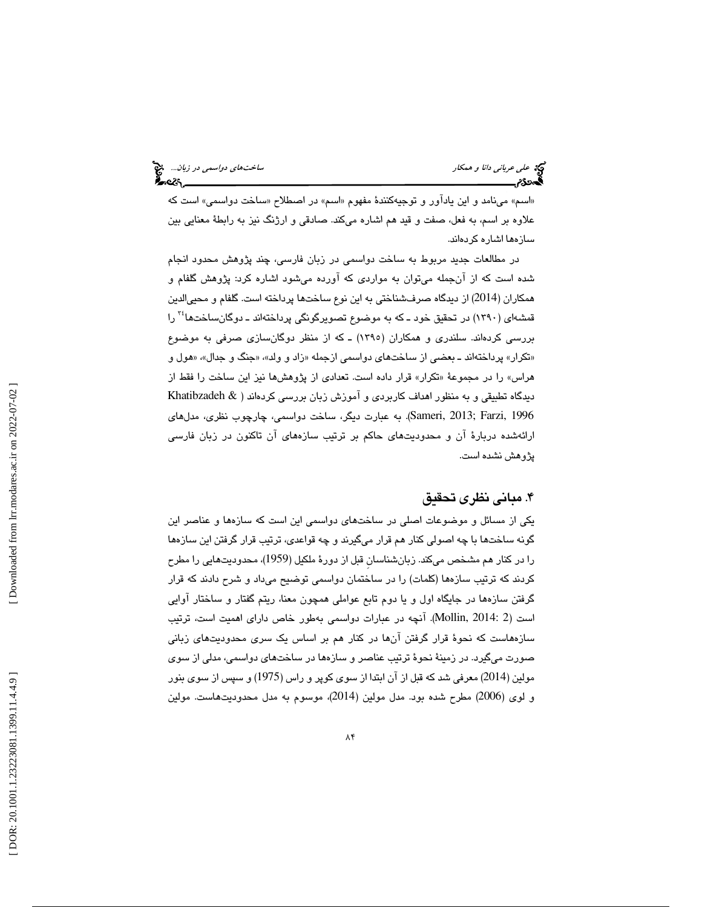«اسم» مينامد و اين ياداور و توجيهكنندهٔ مفهوم «اسم» در اصطلاح «ساخت دواسمي» است كه علاوه بر اسم، به فعل، صفت و قيد هم اشاره ميكند. صادقي و ارژنگ نيز به رابطهٔ معنايي بين سازهها اشاره كردهاند.

 در مطالعات جديد مربوط به ساخت دواسمي در زبان فارسي، چند پژوهش محدود انجام شده است كه از انجمله مىتوان به مواردى كه اورده مىشود اشاره كرد: پژوهش گلفام و همكاران (2014) از ديدگاه صرفـشناختی به اين نوع ساختـها پرداخته است. گلفام و محييالدين قمشهای (۱۳۹۰) در تحقیق خود ـ که به موضوع تصویرگونگی پرداختهاند ـ دوگانساختها<sup>۲٤</sup> را بررسي كردهاند. سلندري و همكاران (1395) ـ كه از منظر دوگانسازي صرفي به موضوع «تکرار» پرداختهاند ــ بعضـي از سـاختـهاي دواسمي ازجمله «زاد و ولد»، «جنگ و جدال»، «هول و هراس» را در مجموعهٔ «تكرار» قرار داده است. تعدادی از پژوهشها نیز این ساخت را فقط از ديدگاه تطبيقي و به منظور اهداف كاربردي و آموزش زبان بررسي كردهاند ( & Khatibzadeh 58meri, 2013; Farzi, 1996). به عبارت ديگر، ساخت دواسمي، چارچوب نظري، مدلهاي ارائهشده دربارهٔ آن و محدودیتهای حاكم بر ترتیب سازههای آن تاكنون در زبان فارسی پژوهش نشده است .

#### . 4 مباني نظري تحقيق

يكي از مسائل و موضوعات اصلي در ساختهاي دواسمي اين است كه سازهها و عناصر اين گونه ساختها با چه اصولی كنار هم قرار میگیرند و چه قواعدی، ترتیب قرار گرفتن این سازهها را در كنار هم مشخص ميكند. زبانشناسان قبل از دورهٔ ملكيل (1959)، محدوديتهايي را مطرح كردند كه ترتيب سازهها (كلمات) را در ساختمان دواسمي توضيح ميداد و شرح دادند كه قرار گرفتن سازهها در جايگاه اول و يا دوم تابع عواملي همچون معنا، ريتم گفتار و ساختار آوايي است ( 2 2014: ,Mollin( . آنچه در عبارات دواسمي به طور خاص داراي اهميت است، ترتيب سازههاست كه نحوة قرار گرفتن آن ها در كنار هم بر اساس يك سري محدوديتهاي زباني صورت ميگيرد . در زمينة نحوة ترتيب عناصر و سازه ها در ساختهاي دواسمي، مدلي از سوي مولين (2014) معرفي شد كه قبل از آن ابتدا از سوي كوپر و راس (1975) و سپس از سوي بنور و لوی (2006) مطرح شده بود. مدل مولين (2014)، موسوم به مدل محدوديتهاست. مولين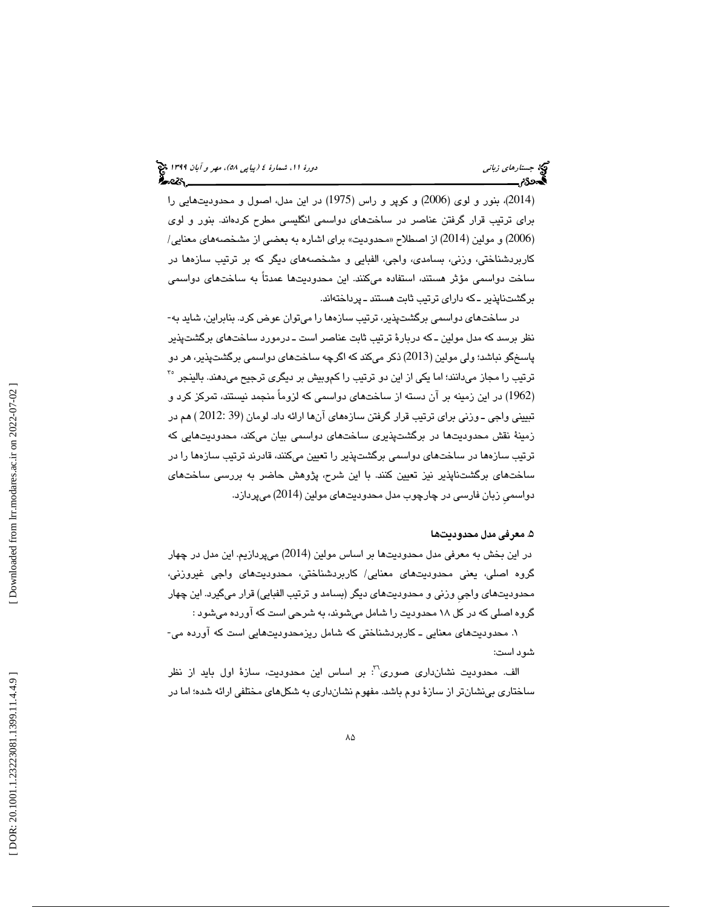(2014)، بنور و لوی (2006) و کوپر و راس (1975) در اين مدل، اصول و محدوديتهايي را براي ترتيب قرار گرفتن عناصر در ساختهاي دواسمي انگليسي مطرح كردهاند. بنور و لوي (2006) و مولين (2014) از اصطلاح «محدوديت» براي اشاره به بعضي از مشخصههاي معنايي/ كاربردشناختي، وزني، بسامدي، واجي، الفبايي و مشخصههاي ديگر كه بر ترتيب سازهها در ساخت دواسمي مؤثر هستند، استفاده ميكنند. اين محدوديتها عمدتاً به ساختهاي دواسمي برگشتناپذير ـ كه داراي ترتيب ثابت هستند ـ پرداختهاند.

در ساختهای دواسمی برگشتپذیر، ترتیب سازهها را میتوان عوض کرد. بنابراین، شاید به-نظر برسد كه مدل مولين ــ كه دربارهٔ ترتيب ثابت عناصر است ــ درمورد ساختهاى برگشتپذير پاسخگو نباشد؛ ولی مولین (2013) ذکر میکند که اگرچه ساختهای دواسمی برگشتپذیر، هر دو ترتیب را مجاز میدانند؛ اما یکی از این دو ترتیب را کموبیش بر دیگری ترجیح میدهند. بالینجر <sup>۳</sup> (1962) در اين زمينه بر آن دسته از ساختهاى دواسمى كه لزوماً منجمد نيستند، تمركز كرد و تبييني واجي ـ وزني براي ترتيب قرار گرفتن سازههاي آنها ارائه داد. لومان (39 :2012 ) هم در زمينهٔ نقش محدوديتها در برگشتپذيري ساختهاي دواسمي بيان ميكند، محدوديتهايي كه ترتيب سازهها در ساختهای دواسمی برگشتپذير را تعيين میکنند، قادرند ترتيب سازهها را در ساختهای برگشتناپذير نيز تعيين كنند. با اين شرح، پژوهش حاضر به بررسي ساختهای دواسمي زبان فارسي در چارچوب مدل محدوديتهاي مولين (2014) ميپردازد.

#### . 5 معرفي مدل محدودي ها ت

در اين بخش به معرفي مدل محدوديتها بر اساس مولين (2014) ميپردازيم. اين مدل در چهار گروه اصلي، يعني محدوديتهاي معنايي/ كاربردشناختي، محدوديتهاي واجي غيروزني، محدوديتهای واجی وزنی و محدوديتهای ديگر (بسامد و ترتيب الفبايي) قرار میگيرد. اين چهار گروه اصلي كه در كل 18 محدوديت را شامل ميشوند، به شرحي است كه آورده ميشود :

۱. محدوديتهاي معنايي ـ كاربردشناختي كه شامل ريزمحدوديتهايي است كه آورده مي-شود است:

الف. محدوديت نشان دارى صورى<sup>٢٠</sup>: بر اساس اين محدوديت، سازهٔ اول بايد از نظر ساختاري بي نشان تر از سازهٔ دوم باشد. مفهوم نشانداري به شكلهاي مختلفي ارائه شده؛ اما در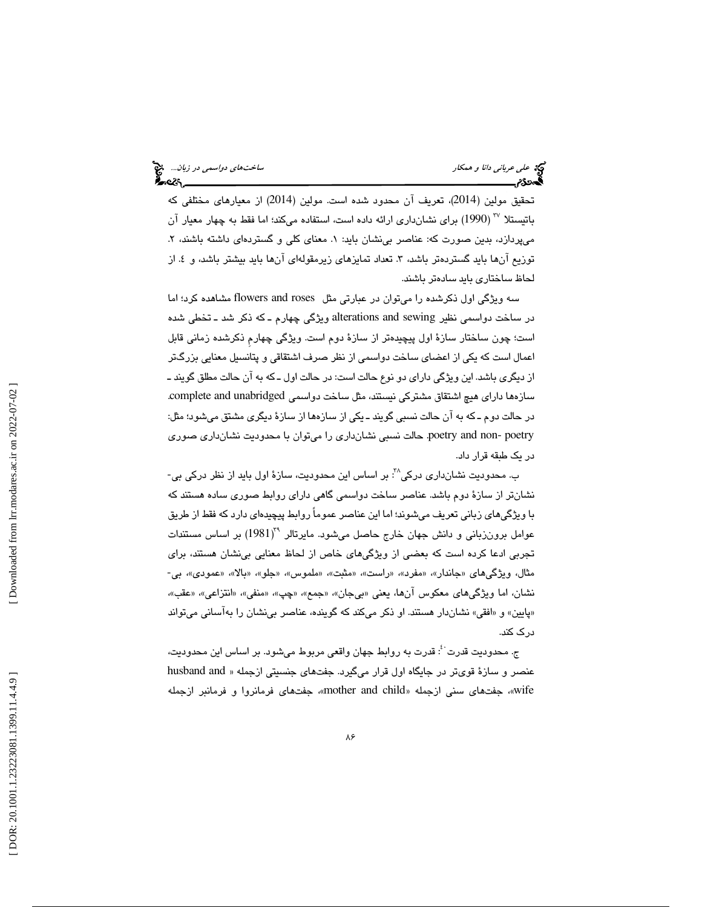تحقيق مولين (2014). تعريف آن محدود شده است. مولين (2014) از معيارهاى مختلفى كه باتیستلا ‴ (1990) برای نشانداری ارائه داده است، استفاده میکند؛ اما فقط به چهار معیار آن ميپردازد، بدين صورت كه: عناصر بي نشان بايد: ١. معناي كلي و گستردهاي داشته باشند، ٢. توزیع آنها باید گستردهتر باشد، ۳. تعداد تمایزهای زیرمقولهای آنها باید بیشتر باشد، و ٤. از<br>لحاظ ساختاری باید سادهتر باشند.

سه ويژگي اول ذكرشده را ميتوان در عبارتي مثل flowers and roses مشاهده كرد؛ اما در ساخت دواسمي نظير alterations and sewing ويژگي چهارم ـ كه ذكر شد ـ تخطي شده است؛ چون ساختار سازهٔ اول پیچیدهتر از سازهٔ دوم است. ویژگی چهارم ذکرشده زمانی قابل اعمال است كه يكى از اعضاى ساخت دواسمى از نظر صرف اشتقاقى و پتانسيل معنايى بزرگتر از ديگرى باشد. اين ويژگى داراى دو نوع حالت است: در حالت اول ـ كه به آن حالت مطلق گويند ــ سازهها داراي هيچ اشتقاق مشتركي نيستند، مثل ساخت دواسمي complete and unabridged. در حالت دوم ـ كه به آن حالت نسبی گویند ـ یكی از سازهها از سازهٔ دیگری مشتق می شود؛ مثل: poetry and non- poetry. حالت نسبي نشانداري را مي توان با محدوديت نشانداري صوري در یک طبقه قرار داد.

ب. محدوديت نشانداری درکی^`: بر اساس اين محدوديت، سازهٔ اول بايد از نظر درکی بی-نشانتر از سازهٔ دوم باشد. عناصر ساخت دواسمی گاهی دارای روابط صوری ساده هستند كه با ويژگىهاى زبانى تعريف مىشوند؛ اما اين عناصر عموماً روابط پيچيدەاى دارد كه فقط از طريق عوامل برونزبانی و دانش جهان خارج حاصل میشود. مایرتالر \*(1981) بر اساس مستندات تجربي ادعا كرده است كه بعضى از ويژگىهاى خاص از لحاظ معنايي بي نشان هستند، براي مثال، ویژگیهای «جاندار»، «مفرد»، «راست»، «مثبت»، «ملموس»، «جلو»، «بالا»، «عمودی»، بی-نشان، اما ويژگيهاي معكوس آنها، يعني «بيجان»، «جمع»، «چپ»، «منفي»، «انتزاعي»، «عقب»، «پايين» و «افقي» نشاندار هستند. او ذكر ميكند كه گوينده، عناصر بي نشان را به آساني مي تواند درك كند.

ج. محدوديت قدرت ُ: قدرت به روابط جهان واقعى مربوط مىشود. بر اساس اين محدوديت، عنصر و سازهٔ قویتر در جایگاه اول قرار میگیرد. جفتهای جنسیتی ازجمله « husband and wife»، جفتهای سنی ازجمله «mother and child»، جفتهای فرمانروا و فرمانبر ازجمله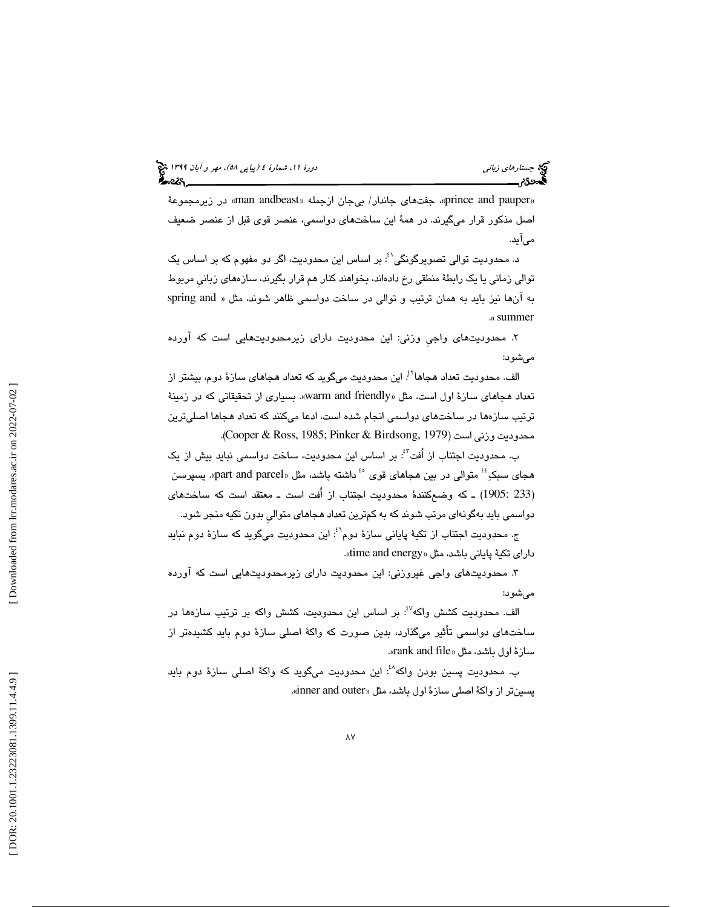### (پياپي 58)، مهر و آبان 1399 جستارهاي زباني دورة ،11 شمارة 4

«prince and pauper»، جفتهای جاندار/ بیجان ازجمله «man andbeast» در زیرمجموعهٔ اصل مذكور قرار ميگيرند. در همهٔ اين ساختهاي دواسمي، عنصر قوي قبل از عنصر ضعيف میآيد.

د. محدوديت توالی تصويرگونگی'<sup>؛</sup>: بر اساس اين محدوديت، اگر دو مفهوم كه بر اساس يک توالي زماني يا يک رابطةً منطقي رخ دادهاند، بخواهند كنار هم قرار بگيرند، سازههاي زباني مربوط به آنها نيز بايد به همان ترتيب و توالى در ساخت دواسمي ظاهر شوند، مثل « spring and «. summer

۲. محدوديتهای واجی وزنی: این محدودیت دارای زیرمحدودیتهایی است که اورده ميشود:

الف. محدوديت تعداد هجاها<sup>؟ي</sup> اين محدوديت ميگويد كه تعداد هجاها*ي* سازهٔ دوم، بيشتر از تعداد هجاهاي سازة اول است، مثل «warm and friendly». بسياري از تحقيقاتي كه در زمينهٔ ترتيب سازهها در ساختهاى دواسمي انجام شده است، ادعا مىكنند كه تعداد هجاها اصلىترين محدوديت وزني است (2979 ,Cooper & Ross, 1985; Pinker & Birdsong, 1979).

ب. محدوديت اجتناب از اُفت<sup>؟:</sup>: بر اساس اين محدوديت، ساخت دواسمي نبايد بيش از يک هجای سبکِ<sup>؛</sup>ٔ متوالی در بین هجاهای قوی <sup>۶۰</sup> داشته باشد، مثل «part and parcel». یسپرسن 233 1905: ـ ) كه وضعكنندة محدوديت اجتناب از اُفت است ـ معتقد است كه ساختهاي ) دواسمي بايد به گونه اي مرتب شوند كه به كمترين تعداد هجاهاي متواليِ بدون تكيه منجر شود.

ج. محدوديت اجتناب از تكيهٔ پاياني سازهٔ دوم<sup>۰٬:</sup> اين محدوديت ميگويد كه سازهٔ دوم نبايد داراي تكيهٔ ياباني باشد، مثل «time and energy».

۳. محدودیتهای واجی غیروزنی: این محدودیت دارای زیرمحدودیتهایی است که اورده ميشود:

الف. محدوديت كشش واكه<sup>87</sup>: بر اساس اين محدوديت، كشش واكه بر ترتيب سازهها در ساختهای دواسمی تأثیر میگذارد، بدین صورت كه واكهٔ اصلی سازهٔ دوم باید كشیدهتر از سازهٔ اول باشد، مثل «rank and file».

ب. محدوديت پسين بودن واكه<sup>^؛</sup>: اين محدوديت مىگويد كه واكهٔ اصلى سازهٔ دوم بايد پسینټر از واکهٔ اصلی سازهٔ اول باشد، مثل «inner and outer».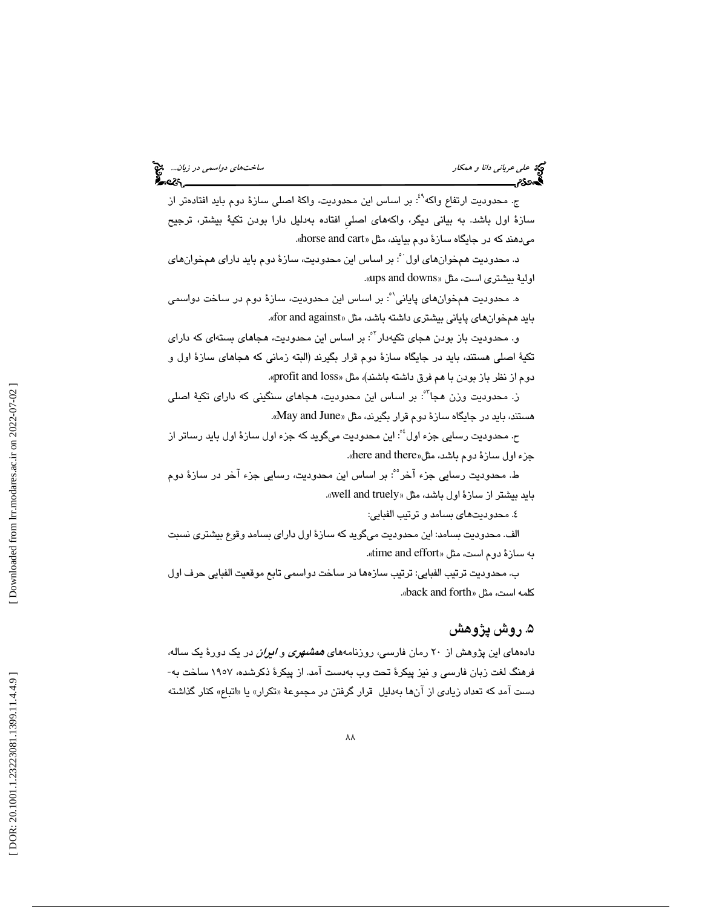# علي عرباني د*انا و همكار ساختهاي دواسمي در زبان...*. الميخ<br>العلماني دانا و همكار ساخته دوراست.<br>**العدد: دوم ساخته دول دوراست در زبان...**

ج. محدوديت ارتفاع واكه<sup>^؛</sup>: بر اساس اين محدوديت، واكهٔ اصلي سازهٔ دوم بايد افتادهتر از سازهٔ اول باشد. به بياني ديگر، واكههاى اصلي افتاده بهدليل دارا بودن تكيهٔ بيشتر، ترجيح میدهند كه در جايگاه سازة دوم بيايند، مثل «horse and cart».

د. محدوديت همخوانهاي اول`ْ: بر اساس اين محدوديت، سازهٔ دوم بايد داراي همخوانهاي اولية بيشتري است، مثل «ups and downs».

ه. محدوديت همخوانهاي پاياني'`: بر اساس اين محدوديت، سازهٔ دوم در ساخت دواسمي بايد هم خوان هاي پاياني بيشتري داشته باشد، مثل «for and against».

و. محدودیت باز بودن هجای تکیهدار<sup>٬٬</sup>: بر اساس این محدودیت، هجا*ه*ای بستهای که دارای تكيهٔ اصلي هستند، بايد در جايگاه سازهٔ دوم قرار بگيرند (البته زماني كه هجاهاي سازهٔ اول و دوم از نظر باز بودن با هم فرق داشته باشند)، مثل «profit and loss».

ز. محدوديت وزن هجا<sup>؟</sup>: بر اساس اين محدوديت، هجا*های* سنگينی كه دارای تكيهٔ اصلی هستند، بايد در جاي گاه سازة دوم قرار بگيرند، مثل « June and May .«

ح. محدوديت رسايي جزء اول<sup>، م</sup>: اين محدوديت ميگويد كه جزء اول سازهٔ اول بايد رساتر از «. here and there جزء اول سازة دوم باشد، مثل«

ط. محدوديت رسايي جزء آخر ؓ: بر اساس اين محدوديت، رسايي جزء آخر در سازهٔ دوم بايد بيشتر از سازة اول باشد، مثل «well and truely».

٤. محدوديتهاي بسامد و ترتيب الفبايي:

الف . محدود تي بسامد: اين محدوديت ميگويد كه سازة اول داراي بسامد وقوع بيشتري نسبت به سازة دوم است، مثل «time and effort».

ب. محدوديت ترتيب الفبايي: ترتيب سازهها در ساخت دواسمي تابع موقعيت الفبايي حرف اول كلمه است، مثل « forth and back« .

#### . 5 روش پژوهش

دادههای این پژوهش از ۲۰ رمان فارس*ی،* روزنامههای *همشهری و ایران* در یک دورهٔ یک ساله، فرهنگ لغت زبان فارسي و نيز پيكرهٔ تحت وب بهدست آمد. از پيكرهٔ ذكرشده، ۱۹۰۷ ساخت به-دست آمد كه تعداد زيادي از آنها بهدليل قرار گرفتن در مجموعهٔ «تكرار» يا «اتباع» كنار گذاشته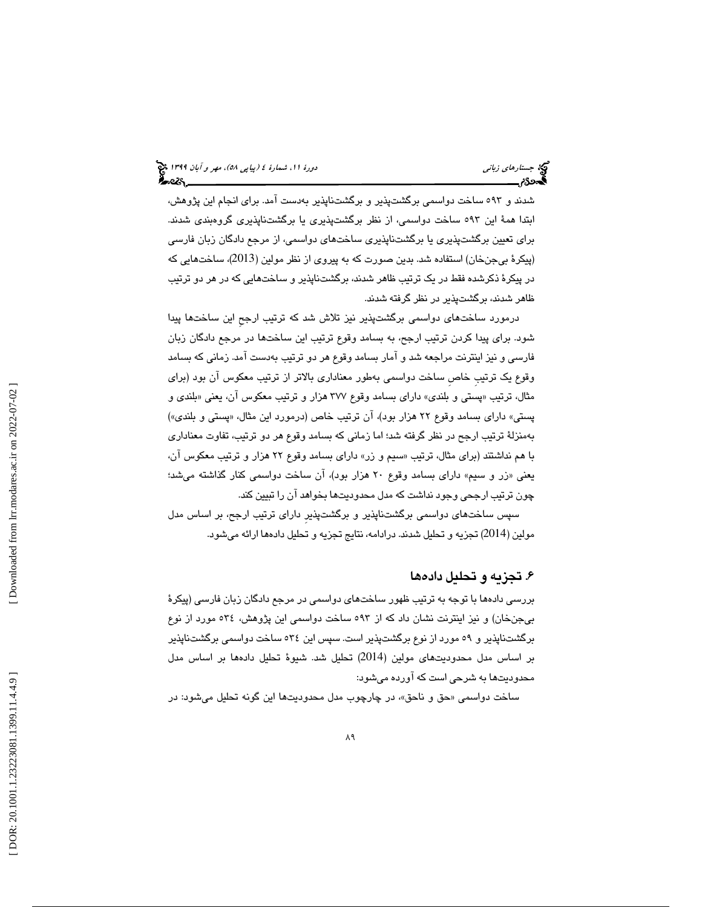شدند و ٥٩٣ ساخت دواسمي برگشتپذير و برگشتناپذير بهدست آمد. براي انجام اين پژوهش، ابتدا همهٔ اين ٥٩٣ ساخت دواسمي، از نظر برگشتپذيري يا برگشتناپذيري گروهبندي شدند. براي تعيين برگشتتپذيري يا برگشتناپذيري ساختهاي دواسمي، از مرجع دادگان زبان فارسي (پيكرهٔ بيجنخان) استفاده شد. بدين صورت كه به پيروي از نظر مولين (2013)، ساختهايي كه در پيكرهٔ ذكرشده فقط در يک ترتيب ظاهر شدند، برگشتناپذير و ساختهايي كه در هر دو ترتيب ظاهر شدند، برگشتیذبر در نظر گرفته شدند.

درمورد ساختهاى دواسمى برگشتپذير نيز تلاش شد كه ترتيب ارجحِ اين ساختها پيدا شود. براي پيدا كردن ترتيب ارجح، به بسامد وقوع ترتيب اين ساختها در مرجع دادگان زبان فارسی و نيز اينترنت مراجعه شد و آمار بسامد وقوع هر دو ترتيب بهدست آمد. زمانی كه بسامد وقوع يك ترتيبِ خاصِ ساخت دواسمي بهطور معناداري بالاتر از ترتيب معكوس آن بود (براي مثال، ترتيب «پستي و بلندي» داراي بسامد وقوع ٣٧٧ هزار و ترتيب معكوس آن، يعني «بلندي و پستي» داراي بسامد وقوع ٢٢ هزار بود)، آن ترتيب خاص (درمورد اين مثال، «پستي و بلندي») بهمنزلهٔ ترتيب ارجح در نظر گرفته شد؛ اما زماني كه بسامد وقوع هر دو ترتيب، تفاوت معناداري با هم نداشتند ( براي مثال ، ترتيب « سيم و زر» داراي بسامد وقوع 22 هزار و ترتيب معكوس آن ، یعني «زر و سیم» دارای بسامد وقوع ۲۰ هزار بود)، ان ساخت دواسمي كنار گذاشته ميشد؛ چون ترتيب ارجحي وجود نداشت كه مدل محدوديتها بخواهد آن را تبيين كند.

سپس ساختهاي دواسمي برگشتناپذير و برگشتپذيرِ داراي بيترت ارجح، بر اساس مدل مولين (2014) تجزيه و تحليل شدند. درادامه، نتايج تجزيه و تحليل دادهها ارائه ميشود.

#### ۶. تجزيه و تحليل داده ها

بررسي دادهها با توجه به ترتيب ظهور ساختهاي دواسمي در مرجع دادگان زبان فارسي (پيكرۀ يب جنخان و) نيز اينترنت نشان داد كه از 593 ساخت دواسمي اين پژوهش، 534 مورد از نوع برگشتناپذير و ٥٩ مورد از نوع برگشتپذير است. سپس اين ٥٣٤ ساخت دواسمي برگشتناپذير بر اساس مدل محدوديتهاى مولين (2014) تحليل شد. شيوهٔ تحليل دادهها بر اساس مدل محدوديتها به شرحی است كه آورده میشود:

ساخت دواسمی «حق و ناحق»، در چارچوب مدل محدودیتها این گونه تحلیل میشود: در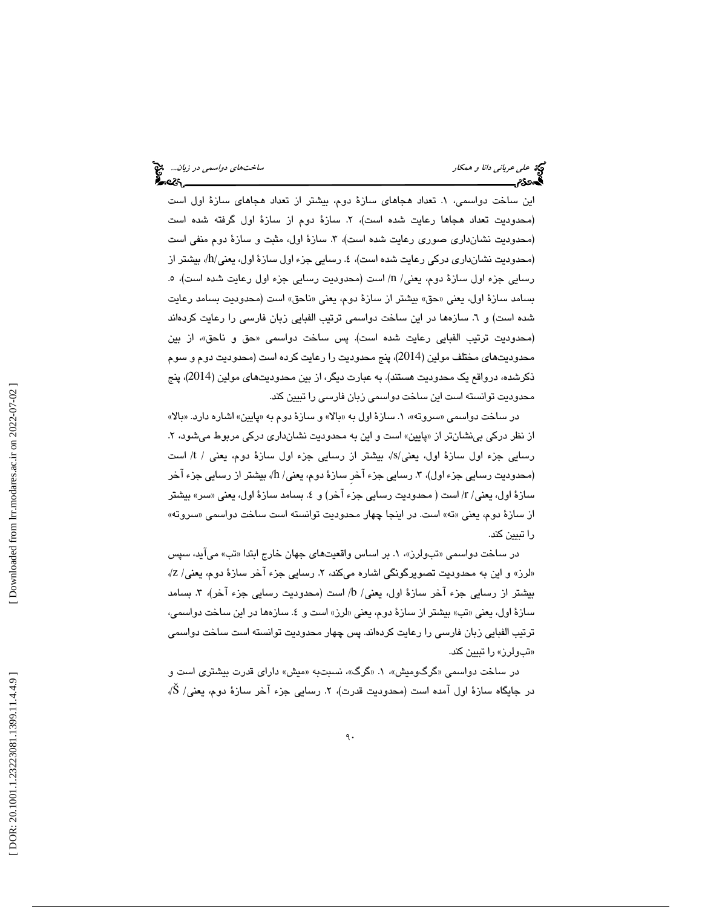اين ساخت دواسمي، 1. تعداد هجاهاي سازة دوم، بيشتر از تعداد هجاهاي سازة اول است (محدوديت تعداد هجاها رعايت شده است)، ۲. سازهٔ دوم از سازهٔ اول گرفته شده است (محدوديت نشانِداري صوري رعايت شده است)، ٣. سازهٔ اول، مثبت و سازهٔ دوم منفي است (محدوديت نشانداري دركي رعايت شده است)، ٤. رسايي جزء اول سازهٔ اول، يعني/h/ بيشتر از رسايي جزء اول سازهٔ دوم، يعني/ n/ است (محدوديت رسايي جزء اول رعايت شده است)، ٥. بسامد سازهٔ اول، يعني «حق» بيشتر از سازهٔ دوم، يعني «ناحق» است (محدوديت بسامد رعايت شده است) و ٦. سازهها در اين ساخت دواسمي ترتيب الفبايي زبان فارسي را رعايت كردهاند (محدوديت ترتيب الفبايي رعايت شده است). پس ساخت دواسمي «حق و ناحق»، از بين محدوديتهاي مختلف مولين (2014)، پنج محدوديت را رعايت كرده است (محدوديت دوم و سوم ذكرشده، درواقع يک محدوديت هستند). به عبارت ديگر، از بين محدوديتهاي مولين (2014)، پنج محدوديت توانسته است اين ساخت دواسمي زبان فارسى را تبيين كند.

در ساخت دواسمی «سروته»، ۱. سازهٔ اول به «بالا» و سازهٔ دوم به «پایین» اشاره دارد. «بالا» از نظر دركي بي نشانتر از «پايين» است و اين به محدوديت نشانداري دركي مربوط مي شود، ۲. رسايي جزء اول سازة اول، يعني/s/، بيشتر از رسايي جزء اول سازة دوم، يعني / t/ است (محدوديت رسايي جزء اول)، ٣. رسايي جزء آخر سازهٔ دوم، يعني/ h/، بيشتر از رسايي جزء آخر سازهٔ اول، يعني/ r/ است ( محدوديت رسايي جزء آخر) و ٤. بسامد سازهٔ اول، يعني «سر» بيشتر از سازهٔ دوم، يعني «ته» است. در اينجا چهار محدوديت توانسته است ساخت دواسمي «سروته» را تبيين كند.

در ساخت دواسمي «تبولرز»، ۱. بر اساس واقعيتهاي جهان خارج ابتدا «تب» مي!يد، سپس «لرز» و اين به محدوديت تصويرگونگي اشاره ميكند، ۲. رسايي جزء آخر سازهٔ دوم، يعني/ Z/، بيشتر از رسايي جزء آخر سازة اول، يعني/ b/ است (محدوديت رسايي جزء آخر)، ٣. بسامد سازهٔ اول، يعني «تب» بيشتر از سازهٔ دوم، يعني «لرز» است و ٤. سازهها در اين ساخت دواسمي، ترتيب الفبايي زبان فارسي را رعايت كردهاند. پس چهار محدوديت توانسته است ساخت دواسمي «تبولرز» را تبيين كند.

در ساخت دواسمی «گرگومیش»، ۱. «گرگ»، نسبتبه «میش» دارای قدرت بیشتری است و در جايگاه سازهٔ اول آمده است (محدوديت قدرت)، ۲. رسايي جزء آخر سازهٔ دوم، يعني/ Š/،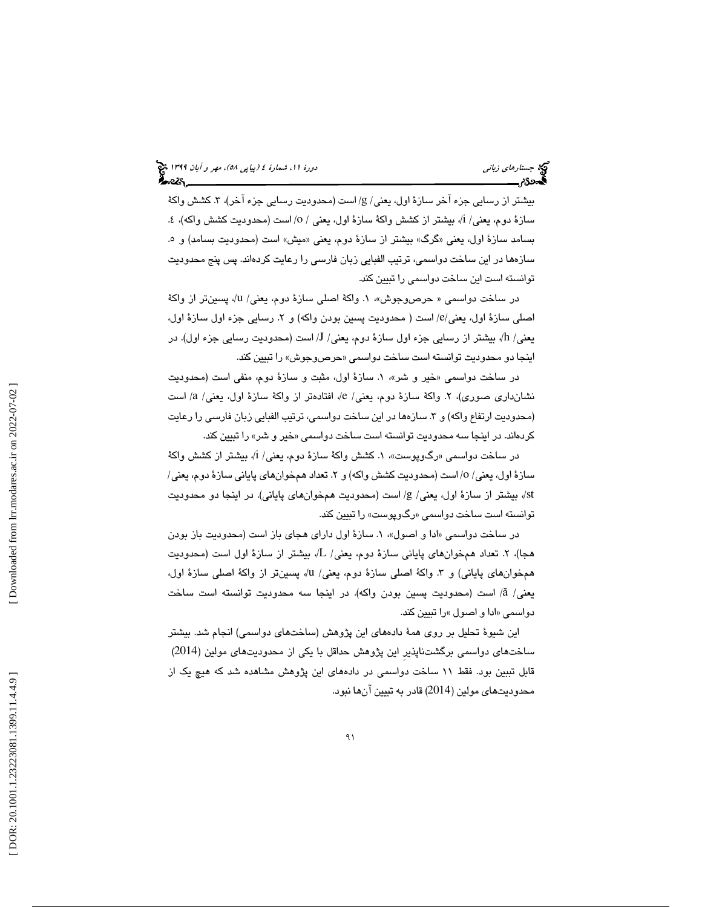بيشتر از رسايي جزء آخر سازهٔ اول، يعني/ g/ است (محدوديت رسايي جزء آخر)، ٣. كشش واكهٔ سازهٔ دوم، يعني/ i/، بيشتر از كشش واكهٔ سازهٔ اول، يعني / o/ است (محدوديت كشش واكه)، ٤. بسامد سازهٔ اول، يعني «گرگ» بيشتر از سازهٔ دوم، يعني «ميش» است (محدوديت بسامد) و ٥. ها سازه در اين ساخت دواسمي ، ترتيب الفبايي زبان فارسي را رعايت كردهاند. پس پنج محدوديت توانسته است اين ساخت دواسمي را تبيين كند.

در ساخت دواسمی « حرصوجوش»، ۱. واكهٔ اصلی سازهٔ دوم، یعنی/ u/، پسینتر از واكهٔ اصلي سازهٔ اول، يعني/e/ است ( محدوديت پسين بودن واكه) و ٢. رسايي جزء اول سازهٔ اول، يعني/ h/، بيشتر از رسايي جزء اول سازهٔ دوم، يعني/ J/ است (محدوديت رسايي جزء اول). در اينجا دو محدوديت توانسته است ساخت دواسم*ی* «حرصوجوش» را تبيين كند.

در ساخت دواسمي «خير و شر»، ١. سازهٔ اول، مثبت و سازهٔ دوم، منفي است (محدوديت نشان،داری صوری)، ۲. واکهٔ سازهٔ دوم، یعنی/ e/، افتادهتر از واکهٔ سازهٔ اول، یعنی/ a/ است (محدوديت ارتفاع واكه) و ٣. سازهها در اين ساخت دواسمي، ترتيب الفبايي زبان فارسي را رعايت كردهاند. در اينجا سه محدوديت توانسته است ساخت دواسمي «خير و شر» را تبيين كند.

در ساخت دواسمی «رگ<code>وپوست</code>»، ۱. كشش واكهٔ سازهٔ دوم، یعنی/ i/، بیشتر از كشش واكهٔ سازهٔ اول، يعني/ ٥/ است (محدوديت كشش واكه) و ٢. تعداد همخوان،هاي پاياني سازهٔ دوم، يعني/ st/، بيشتر از سازة اول، يعني/ g/ است (محدوديت همخوانهاي پاياني). در اينجا دو محدوديت توانسته است ساخت دواسم*ی* «رگوپوست» را تبیین کند.

در ساخت دواسمی «ادا و اصول»، ۱. سازهٔ اول دارای هجای باز است (محدودیت باز بودن هجا)، ۲. تعداد همخوانهای پایانی سازهٔ دوم، یعنی/ L/، بیشتر از سازهٔ اول است (محدودیت همخوانهای پایانی) و ۳. واکهٔ اصلی سازهٔ دوم، یعنی/ u/، پسینتر از واکهٔ اصلی سازهٔ اول، يعني/ ä/ است (محدوديت پسين بودن واكه). در اينجا سه محدوديت توانسته است ساخت دواسم*ی* «ادا و اصول »را تبيين كند.

اين شبوهٔ تحليل بر روی همهٔ دادههای اين پژوهش (ساختهای دواسمی) انجام شد. بيشتر<br>ساختهای دواسمی برگشتناپذير اين پژوهش حداقل با يكی از محدوديتهای مولين (2014) قابل تببين بود. فقط ١١ ساخت دواسمي در دادههاي اين پژوهش مشاهده شد كه هيچ يک از محدوديتهاي مولين ( 2014) قادر به تبيين آن ها نبود .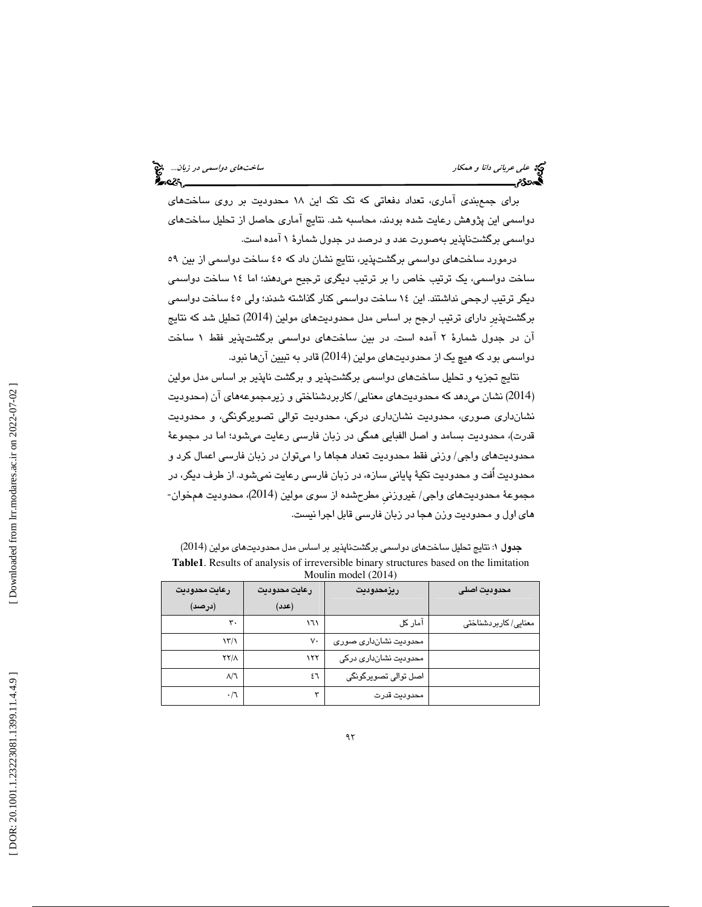علي عرباني دانا و همكار ساختهاي دواسمي در زبان...

براي جمعبندي آماري، تعداد دفعاتي كه تك تك اين 18 محدوديت بر روي ساختهاي دواسمي اين پژوهش رعايت شده بودند، محاسبه شد. نتايج آماري حاصل از تحليل ساختهاي دواسمی برگشتناپذیر بهصورت عدد و درصد در جدول شمارهٔ ۱ آمده است.

درمورد ساختهاي دواسمي برگشتپذير، نتايج نشان داد كه ٤٥ ساخت دواسمي از بين ٥٩ ساخت دواسمی، یک ترتیب خاص را بر ترتیب دیگری ترجیح میدهند؛ اما ۱۶ ساخت دواسمی ديگر ترتيب ارجحي نداشتند. اين ١٤ ساخت دواسمي كنار گذاشته شدند؛ ولي ٤٥ ساخت دواسمي برگشتپذيرِ داراي ترتيب ارجح بر اساس مدل محدوديتهاي مولين (2014) تحليل شد كه نتايج ان در جدول شمارهٔ ۲ امده است. در بین ساختهای دواسمی برگشتپذیر فقط ۱ ساخت دواسمي بود كه هيچ يك از محدوديتهاي مولين ( 2014) قادر به تبيين آن ها نبود.

نتايج تجزيه و تحليل ساختهاي دواسمي برگشتپذير و برگشت ناپذير بر اساس مدل مولين (2014) نشان میدهد که محدودیتهای معنایی/ کاربردشناختی و زیرمجموعههای آن (محدودیت نشانداری صوری، محدودیت نشانداری درکی، محدودیت توالی تصویرگونگی، و محدودیت قدرت)، محدوديت بسامد و اصل الفبايي همگي در زبان فارسي رعايت ميشود؛ اما در مجموعهٔ محدوديتهاى واجي/ وزني فقط محدوديت تعداد هجاها را مي توان در زبان فارسي اعمال كرد و محدوديت اُفت و محدوديت تكيۀ پاياني سازه، در زبان فارسي رعايت نميشود. از طرف ديگر، در مجموعهٔ محدوديتهاي واجي/ غيروزني مطرحشده از سوي مولين (2014)، محدوديت همخوان-های اول و محدودیت وزن هجا در زبان فارسی قابل اجرا نیست.

جدول ١: نتايج تحليل ساختهاي دواسمي برگشتناپذير بر اساس مدل محدوديتهاي مولين (2014) **Table1**. Results of analysis of irreversible binary structures based on the limitation Moulin model (2014)

| محدوديت اصلى         | ريزمحدوديت            | رعايت محدوديت | رعايت محدوديت        |  |  |  |
|----------------------|-----------------------|---------------|----------------------|--|--|--|
|                      |                       | (عدد)         | (درصد)               |  |  |  |
| معنایی/ کاربردشناختی | آمار کل               | ۱٦۱           | ۳۰                   |  |  |  |
|                      | محدودیت نشانداری صوری | $V \cdot$     | $\frac{1}{\sqrt{2}}$ |  |  |  |
|                      | محدودیت نشانداری درکی | ۱۲۲           | $XY/\Lambda$         |  |  |  |
|                      | اصل توالی تصویرگونگی  | ٤٦            | $\Lambda/\Lambda$    |  |  |  |
|                      | محدوديت قدرت          | ٣             | $\cdot/\mathcal{L}$  |  |  |  |
|                      |                       |               |                      |  |  |  |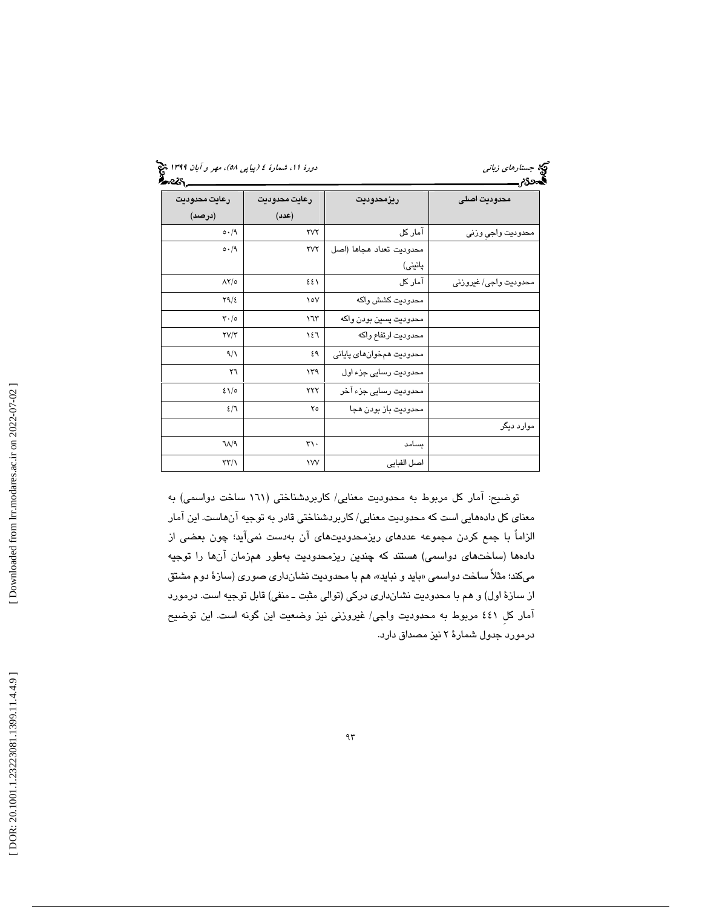(پياپي 58)، مهر و آبان 1399 جستارهاي زباني دورة ،11 شمارة 4

| - ບ<br>رعايت محدوديت          | رعايت محدوديت     | ريزمحدوديت               | v<br>محدوديت اصلى     |
|-------------------------------|-------------------|--------------------------|-----------------------|
| (درصد)                        | (30)              |                          |                       |
| 0.49                          | <b>YVY</b>        | آمار کل                  | محدوديت واجى وزنى     |
| 0.49                          | <b>TVY</b>        | محدوديت تعداد هجاها (اصل |                       |
|                               |                   | پانینی)                  |                       |
| $\Lambda$ Y/0                 | ٤٤١               | آمار کل                  | محدوديت واجى/ غيروزنى |
| $Y9/\epsilon$                 | $\circ \vee$      | محدوديت كشش واكه         |                       |
| $\mathbf{r} \cdot \mathbf{0}$ | ۱٦٣               | محدوديت پسين بودن واكه   |                       |
| $\Upsilon V/\Upsilon$         | ١٤٦               | محدوديت ارتفاع واكه      |                       |
| $\gamma$                      | ٤٩                | محدوديت همخوانهاي پاياني |                       |
| ٢٦                            | ۱۳۹               | محدودیت رسایی جزء اول    |                       |
| $2\lambda/\sigma$             | ۲۲۲               | محدودیت رسایی جزء آخر    |                       |
| 2/7                           | ٢٥                | محدوديت باز بودن هجا     |                       |
|                               |                   |                          | موارد دیگر            |
| $V/\sqrt{2}$                  | $\mathbf{r}\cdot$ | ىسامد                    |                       |
| $\tau\tau/\gamma$             | <b>IVV</b>        | اصل الفبايي              |                       |

توضيح: آمار كل مربوط به محدوديت معنايي/ كاربردشناختي ( 161 ساخت دواسمي) به معناي كل دادههايي است كه محدوديت معنايي/ كاربردشناختي قادر به توجيه آنهاست. اين آمار الزاماً با جمع كردن مجموعه عددهاي ريزمحدوديتهاي آن بهدست نمي آيد؛ چون بعضي از دادهها (ساختهاي دواسمي) هستند كه چندين ريزمحدوديت بهطور همزمان آنها را توجيه ميكند؛ مثلاً ساخت دواسمي «بايد و نبايد»، هم با محدوديت نشانداري صوري (سازهٔ دوم مشتق از سازة اول) و هم با محدوديت نشانداري دركي (توالي مثبت ـ منفي) قابل توجيه است. درمورد آمار كلِ 441 مربوط به محدوديت واجي/ غيروزني نيز وضعيت اين گونه است. اين توضيح درمورد جدول شمارة 2 نيز مصداق دارد.

 [\[ DOR: 20.1001.1.23223081.1399.11.4.4.9](https://dorl.net/dor/20.1001.1.23223081.1399.11.4.4.9) ] [\[ Downloaded from lrr.modares.ac.ir on 20](https://lrr.modares.ac.ir/article-14-22700-fa.html)22-07-02 ] [Downloaded from lrr.modares.ac.ir on 2022-07-02]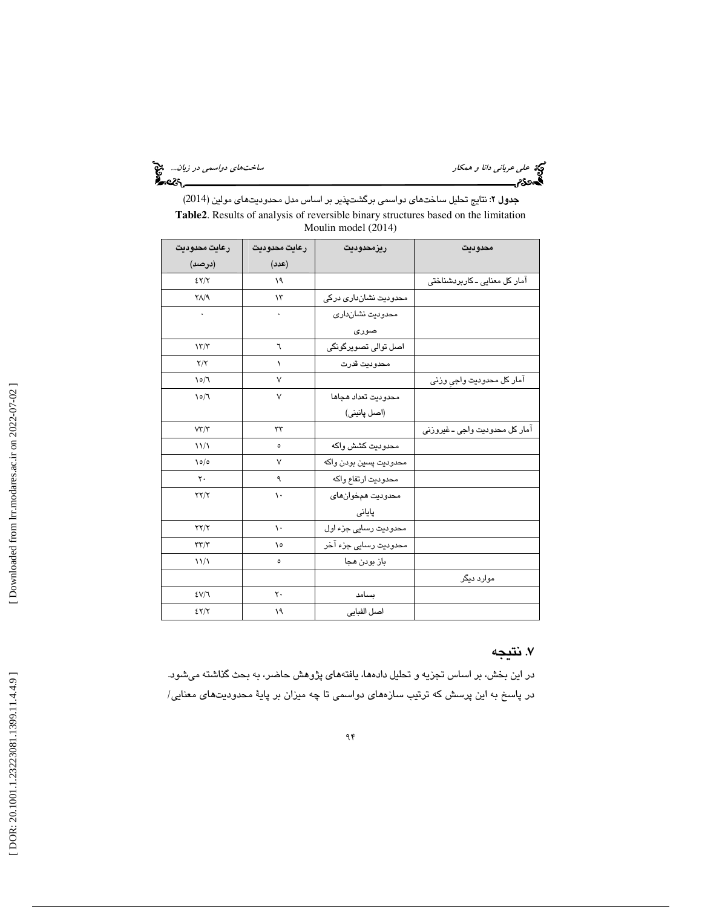علي عرباني دانا و همكار ساختهاي دواسمي در زبان...

جدول ۲: نتايج تحليل ساختهای دواسمی برگشتپذير بر اساس مدل محدوديتهای مولين (2014) **Table2**. Results of analysis of reversible binary structures based on the limitation Moulin model (2014)

| رعايت محدوديت          | رعايت محدوديت | ريزمحدوديت             | محدوديت                        |
|------------------------|---------------|------------------------|--------------------------------|
| (درصد)                 | (عدد)         |                        |                                |
| 2Y/Y                   | ١٩            |                        | آمار کل معنایی ـ کاربردشناختی  |
| $Y/\sqrt{9}$           | ۱۳            | محدودیت نشانداری درکی  |                                |
| $\bullet$              |               | محدودیت نشانداری       |                                |
|                        |               | صورى                   |                                |
| 17/7                   | ٦             | اصل توالی تصویرگونگی   |                                |
| Y/Y                    | $\lambda$     | محدوديت قدرت           |                                |
| $\sqrt{2}$             | ٧             |                        | آمار كل محدوديت واجي وزني      |
| $\sqrt{2}$             | $\vee$        | محدوديت تعداد هجاها    |                                |
|                        |               | (اصل پانینی)           |                                |
| $V\Upsilon/\Upsilon$   | rr            |                        | آمار کل محدودیت واجی ـ غیروزنی |
| $\frac{1}{2}$          | ٥             | محدوديت كشش واكه       |                                |
| $\sqrt{\frac{2}{\pi}}$ | ٧             | محدوديت پسين بودن واكه |                                |
| $\mathsf{r}\cdot$      | ٩             | محدوديت ارتفاع واكه    |                                |
| $\tau\tau/\tau$        | ١.            | محدوديت همخوانهاي      |                                |
|                        |               | پایانی                 |                                |
| $\tau\tau/\tau$        | ١.            | محدودیت رسایی جزء اول  |                                |
| $\tau\tau/\tau$        | ١٥            | محدوديت رسايى جزء آخر  |                                |
| $\frac{1}{2}$          | ٥             | باز بودن هجا           |                                |
|                        |               |                        | موارد دیگر                     |
| EVI                    | ٢.            | سىامد                  |                                |
| 2Y/Y                   | ١٩            | اصل الفبايي            |                                |

#### 7. نتيجه

در اين بخش، بر اساس تجزيه و تحليل دادهها، يافتههاي پژوهش حاضر، به بحث گذاشته ميشود. در پاسخ به اين پرسش كه ترتيب سازههای دواسمی تا چه ميزان بر پايهٔ محدوديتهای معنایی/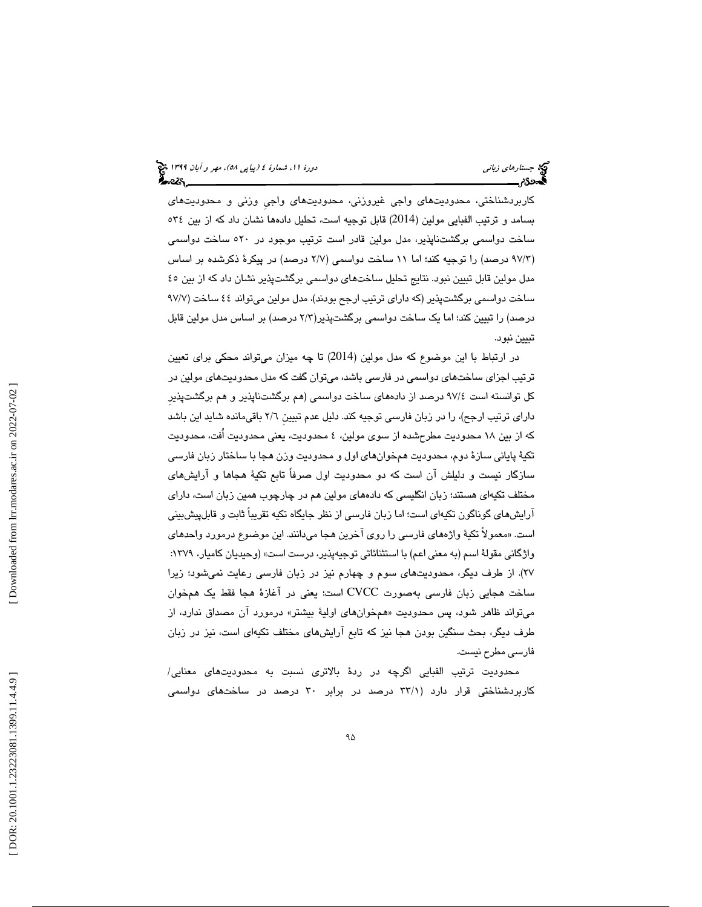كاربردشناختي، محدوديتهاى واجي غيروزني، محدوديتهاى واجي وزني و محدوديتهاى بسامد و ترتيب الفبايي مولين (2014) قابل توجيه است، تحليل دادهها نشان داد كه از بين ٣٤ه ساخت دواسمی برگشتناپذیر، مدل مولین قادر است ترتیب موجود در ٥٢٠ ساخت دواسمی (٩٧/٣ درصد) را توجيه كند؛ اما ١١ ساخت دواسمي (٢/٧ درصد) در پيكرهٔ ذكرشده بر اساس مدل مولين قابل تبيين نبود. نتايج تحليل ساختهاي دواسمي برگشتپذير نشان داد كه از بين ٤٥ ساخت دواسمی برگشتپذیر (كه دارای ترتیب ارجح بودند)، مدل مولین میتواند ٤٤ ساخت (٩٧/٧ درصد) را تبيين كند؛ اما يک ساخت دواسمی برگشتپذير(٢/٣ درصد) بر اساس مدل مولين قابل تبيين نبود.

در ارتباط با اين موضوع كه مدل مولين (2014) تا چه ميزان مىتواند محكى براى تعيين ترتيب اجزاي ساخت هاي دواسمي در فارسي باشد، ميتوان گفت كه مدل محدوديتهاي مولين در كل توانسته است ٤/٧٢ درصد از دادههاى ساخت دواسمي (هم برگشتناپذير و هم برگشتپذير داراي ترتيب ارجح)، را در زبان فارسي توجيه كند. دليل عدم تبيين ٢/٦ باقيءانده شايد اين باشد كه از بين ١٨ محدوديت مطرحشده از سوي مولين، ٤ محدوديت، يعني محدودت اُفت، محدوديت تكيهٔ پاياني سازهٔ دوم، محدوديت همخوانهاي اول و محدوديت وزن هجا با ساختار زبان فارسي سازگار نيست و دليلش آن است كه دو محدوديت اول صرفاً تابع تكيهٔ هجاها و آرايشهاى مختلف تکیهای هستند؛ زبان انگلیسی که دادههای مولین هم در چارچوب همین زبان است، دارای ارايشهای گوناگون تکيهای است؛ اما زبان فارسی از نظر جايگاه تکيه تقريباً ثابت و قابلپيشبينی است. «معمولاً تکیهٔ واژههای فارسی را روی آخرین هجا میدانند. این موضوع درمورد واحدهای<br>واژگانی مقولهٔ اسم (به معنی اعم) با استثنائاتی توجیهپذیر، درست است» (وحیدیان کامیار، ۱۳۷۹: ٢٧). از طرف ديگر، محدوديتهاى سوم و چهارم نيز در زبان فارسى رعايت نميشود؛ زيرا ساخت هجايي زبان فارسي بهصورت CVCC است؛ يعني در آغازهٔ هجا فقط يک همخوان ميتواند ظاهر شود، پس محدوديت «همخوان@اي اوليهٔ بيشتر» درمورد آن مصداق ندارد، از طرف ديگر، بحث سنگين بودن هجا نيز كه تابع آرايش هاى مختلف تكيهاى است، نيز در زبان فارسي مطرح نيست.

محدوديت ترتيب الفبايي اگرچه در ردهٔ بالاتری نسبت به محدوديتهای معنايي/ کاربردشناختی قرار دارد (۳۳/۱ درصد در برابر ۳۰ درصد در ساختهای دواسمی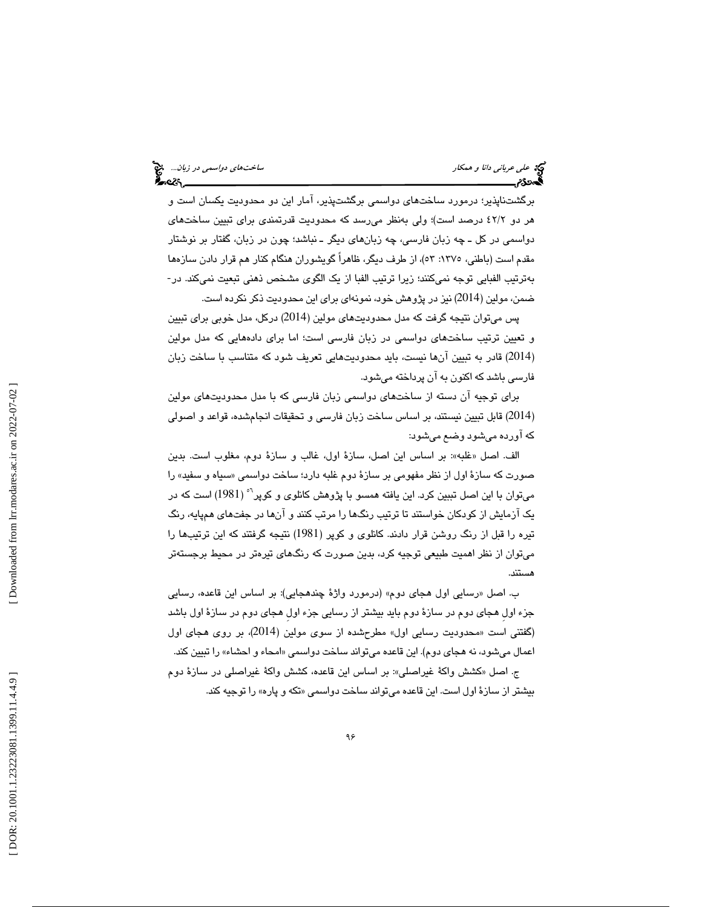علي عرباني دانا و همكار ساختهاي دواسمي در زبان...

برگشتناپذير؛ درمورد ساختهاي دواسمي برگشتپذير، آمار اين دو محدوديت يكسان است و هر دو ٤٢/٢ درصد است)؛ ولي بهنظر مىرسد كه محدوديت قدرتمندى براى تبيين ساختهاى دواسمي در كل ــ چه زبان فارسي، چه زبانهاي ديگر ــ نباشد؛ چون در زبان، گفتار بر نوشتار مقدم است (باطنی، ١٣٧٥: ٥٣)، از طرف دیگر، ظاهراً گویشوران هنگام كنار هم قرار دادن سازهها بهترتيب الفبايي توجه نميكنند؛ زيرا ترتيب الفبا از يک الگوی مشخص ذهنی تبعيت نميكند. در-ضمن ، مولين ( 2014) نيز در پژوهش خود، نمونه اي براي اين محدوديت ذكر نكرده است .

پس ميتوان نتيجه گرفت كه مدل محدود تي هاي مولين ( 2014) دركل، مدل خوبي براي تبيين و تعيين ترتيب ساختهاي دواسمي در زبان فارسي است ؛ اما براي دادههايي كه مدل مولين (2014) قادر به تبیین آنها نیست، باید محدودیتهایی تعریف شود که متناسب با ساخت زبان فارسی باشد كه اكنون به آن پرداخته می شود.

برای توجیه ان دسته از ساختهای دواسمی زبان فارسی که با مدل محدودیتهای مولین (2014) قابل تبيين نيستند، بر اساس ساخت زبان فارسى و تحقيقات انجامشده، قواعد و اصولي كه آورده ميشود وضع ميشود :

الف. اصل «غلبه»: بر اسـاس اين اصـل، سـازهٔ اول، غالب و سـازهٔ دوم، مغلوب است. بدين صورت كه سازهٔ اول از نظر مفهومي بر سازهٔ دوم غلبه دارد؛ ساخت دواسمي «سياه و سفيد» را میتوان با این اصل تببین کرد. این یافته همسو با پژوهش کانلوی و کوپر<sup>۹</sup>° (1981) است که در یک ازمایش از کودکان خواستند تا ترتیب رنگها را مرتب کنند و انها در جفتهای همپایه، رنگ تيره را قبل از رنگ روشن قرار دادند. كانلوى و كوپر (1981) نتيجه گرفتند كه اين ترتيبها را ميتوان از نظر اهميت طبيعي توجيه كرد، بدين صورت كه رنگهاي تيرهتر در محيط برجستهتر هستند.

ب. اصل «رسايي اول هجای دوم» (درمورد واژهٔ چندهجايي): بر اساس اين قاعده، رسايي جزء اول هجای دوم در سازهٔ دوم باید بیشتر از رسایی جزء اول هجای دوم در سازهٔ اول باشد (گفتنی است «محدودیت رسایی اول» مطرحشده از سوی مولین (2014)، بر روی هجای اول اعمال مي شود، نه هجاي دوم). اين قاعده مي تواند ساخت دواسمي «امحاء و احشاء» را تبيين كند.

ج. اصل «كشش واكة غيراصلي»: بر اساس اين قاعده، كشش واكة غيراصلي در سازة دوم بيشتر از سازهٔ اول است. اين قاعده مي تواند ساخت دواسمي «تكه و پاره» را توجيه كند.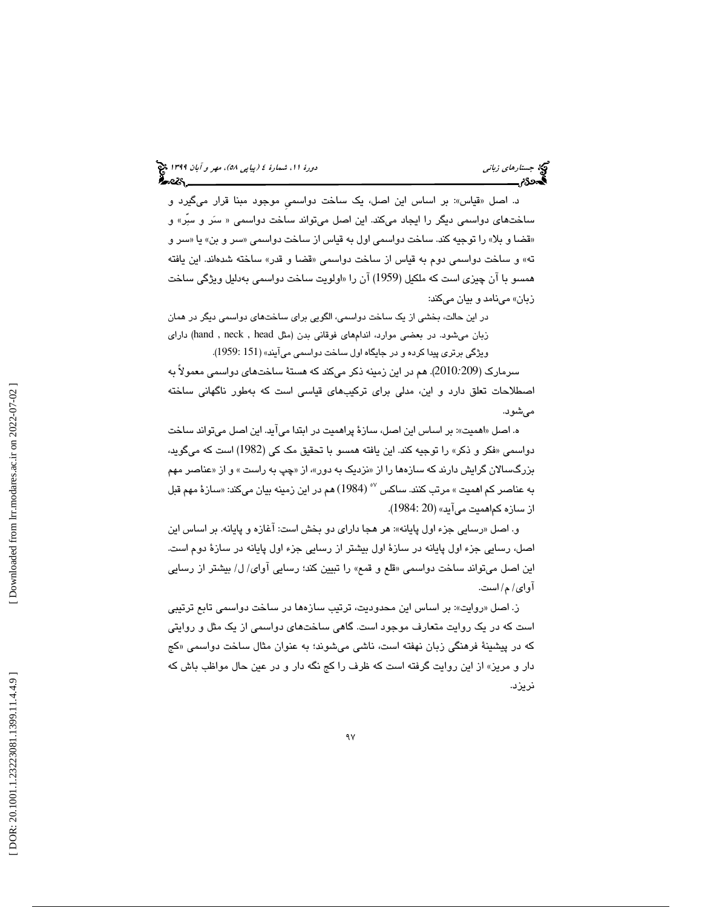د. اصل «قياس»: بر اساس اين اصل، يک ساخت دواسمي موجود مبنا قرار ميگيرد و ساختهای دواسمی دیگر را ایجاد میکند. این اصل میتواند ساخت دواسمی « سَر و سِرٌ» و «قضا و بلا» را توجيه كند. ساخت دواسمي اول به قياس از ساخت دواسمي «سر و بن» يا «سر و ته» و ساخت دواسمي دوم به قياس از ساخت دواسمي «قضا و قدر» ساخته شدهاند. اين يافته همسو با آن چیزی است که ملکیل (1959) آن را «اولویت ساخت دواسمی بهدلیل ویژگی ساخت زبان» مي نامد و بيان مي كند:

در اين حالت، بخشی از يک ساخت دواسمی، الگويی برای ساختهای دواسمی ديگر در همان زبان می شود. در بعضی موارد، اندامهای فوقانی بدن (مثل hand , neck , head) دارای ويژگي برتري پيدا كرده و در جايگاه اول ساخت دواسمي مي آيند» (151 :1959).

2010). هم در اين زمينه ذكر مي كند كه هستة ساخت يها دواسمي معمولاً به سرمارك ( *:*209 اصطلاحات تعلق دارد و اين، مدلی برای ترکیبهای قیاسی است که بهطور ناگهانی ساخته مي شود.

ه. اصل «اهميت»: بر اساس اين اصل، سازهٔ پراهميت در ابتدا ميآيد. اين اصل ميتواند ساخت دواسمي «فكر و ذكر» را توجيه كند. اين يافته همسو با تحقيق مك كي (1982) است كه ميگويد، بزرگسـالان گرايش دارند كه سـازهها را از «نزديک به دور»، از «چپ به راست » و از «عناصـر مهم به عناصر كم اهميت » مرتب كنند. ساكس <sup>٥٧</sup> (1984) هم در اين زمينه بيان ميكند: «سازهٔ مهم قبل از سازه كماهميت مي آيد» (20 :1984).

و. اصل «رسايي جزء اول پايانه»: هر هجا داراي دو بخش است: آغازه و پايانه. بر اساس اين اصل، رسايي جزء اول پايانه در سازهٔ اول بيشتر از رسايي جزء اول پايانه در سازهٔ دوم است. اين اصل ميتواند ساخت دواسمي «قلع و قمع» را تبيين كند؛ رسايي آواي/ ل/ بيشتر از رسايي آواي / م/ است .

ز. اصل «روايت»: بر اساس اين محدوديت، ترتيب سازهها در ساخت دواسمي تابع ترتيبي است كه در يك روايت متعارف موجود است. گاهي ساختهاي دواسمي از يك مثل و روايتي كه در پيشينهٔ فرهنگي زبان نهفته است، ناشي ميشوند؛ به عنوان مثال ساخت دواسمي «كج دار و مريز» از اين روايت گرفته است كه ظرف را كج نگه دار و در عين حال مواظب باش كه نريزد .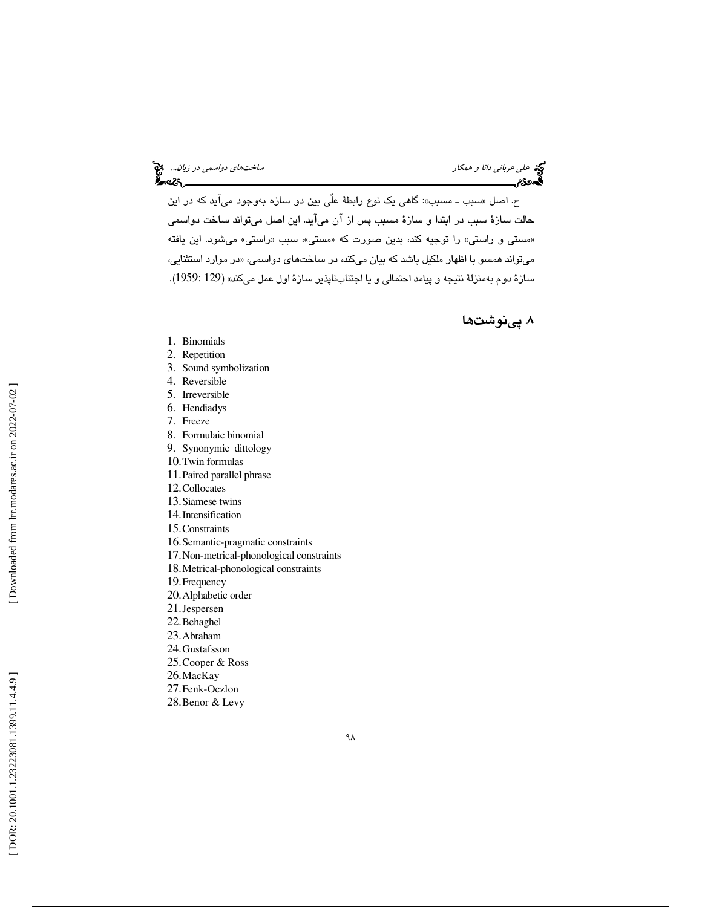# علي عرباني د*انا و همكار ساختهاي دو در زبان...*. م<sup>علي</sup><br>التحقيق المسلمين دا*نا و همكار*<br>ال**تحتوي الصحيح المسلمين دول**اسمين دولاسمبل دولاسمبل دولاسمبل دولاسمبل دولاسمبل دولاسمبل دولاسمبل دولاسمبل دولاس

ح. اصل «سبب ــ مسبب»: گاهی یک نوع رابطهٔ علی بین دو سازه بهوجود میاید که در این حالت سازة سبب در ابتدا و سازة مسبب پس از آن میآید. این اصل میتواند ساخت دواسمی «مستی و راستی» را توجیه کند، بدین صورت که «مستی»، سبب «راستی» میشود. این یافته میتواند همسو با اظهار ملکیل باشد که بیان میکند، در ساختهای دواسمی، «در موارد استثنایی، سازهٔ دوم بهمنزلهٔ نتیجه و پیامد احتمالی و یا اجتنابناپذیر سازهٔ اول عمل میکند» (129 :1959).

### . 8 پينوشتها

- 1. Binomials
- 2. Repetition
- 3. Sound symbolization
- 4. Reversible
- 5. Irreversible
- 6. Hendiadys
- 7. Freeze
- 8. Formulaic binomial
- 9. Synonymic dittology
- 10.Twin formulas
- 11.Paired parallel phrase
- 12.Collocates
- 13.Siamese twins
- 14.Intensification
- 15.Constraints
- 16.Semantic-pragmatic constraints
- 17.Non-metrical-phonological constraints
- 18.Metrical-phonological constraints
- 19.Frequency
- 20.Alphabetic order
- 21.Jespersen
- 22.Behaghel
- 23.Abraham
- 24.Gustafsson
- 25.Cooper & Ross
- 26.MacKay
- 27.Fenk-Oczlon
- 28.Benor & Levy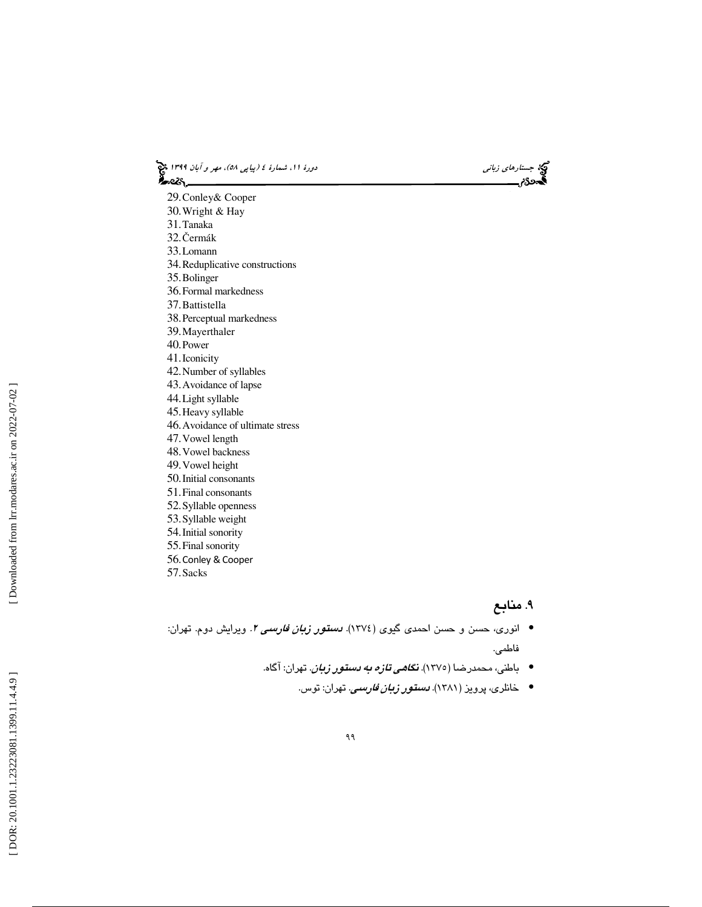(پياپي 58)، مهر و آبان 1399 جستارهاي زباني دورة ،11 شمارة 4

29.Conley& Cooper 30.Wright & Hay 31.Tanaka 32. Čermák 33.Lomann 34.Reduplicative constructions 35.Bolinger 36.Formal markedness 37.Battistella 38.Perceptual markedness 39.Mayerthaler 40.Power 41.Iconicity 42.Number of syllables 43.Avoidance of lapse 44.Light syllable 45.Heavy syllable 46.Avoidance of ultimate stress 47.Vowel length 48.Vowel backness 49.Vowel height 50.Initial consonants 51.Final consonants 52.Syllable openness 53.Syllable weight 54.Initial sonority 55.Final sonority 56.Conley & Cooper 57.Sacks

#### . 9 منابع

- انوری، حسن و حسن احمدی گیوی (١٣٧٤). *دستور زبان فارسی ٢.* ویرایش دوم. تهران: فاطمى.
	- باطنی، محمدرضا (۱۳۷۵). *نگا<i>هی تازه به دستور زبان***. ت**هران: آگاه.
		- خانلری، پرویز (۱۳۸۱). *دستقور زبان فارسی.* تهران: توس.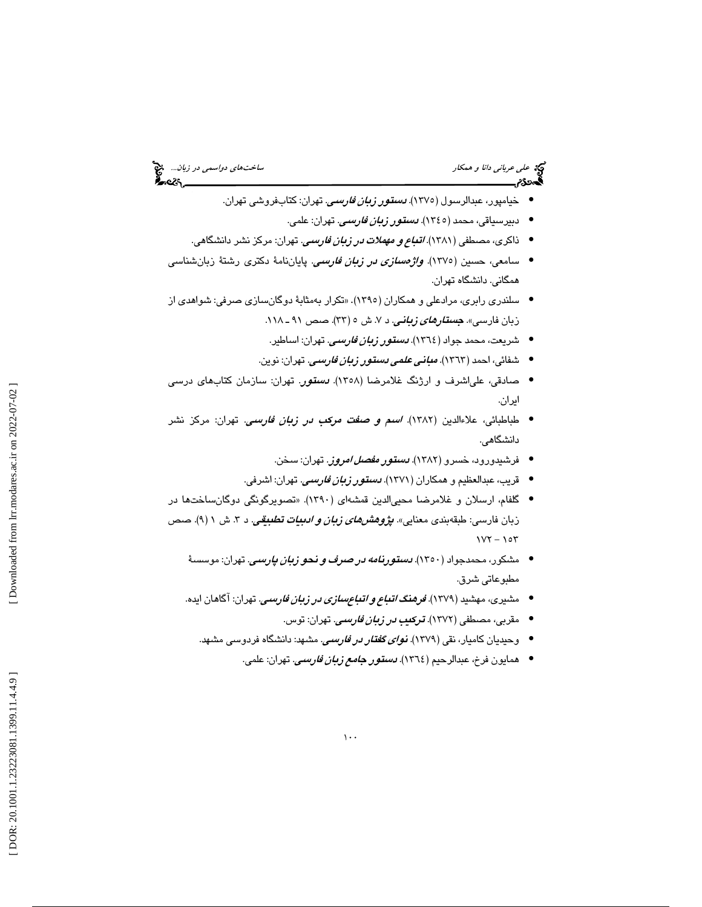# علي عرباني دانا و همكار ساختهاي دواسمي در زبان...

- خيامپور، عبدالرسول (١٣٧٥). *دستور زبان فارسي*. تهران: كتابفروشي تهران.
	- دبيرسياقي، محمد (١٣٤٥). *دستور زبان فارسي*. تهران: علمي.
- ذاكرى، مصطفى (١٣٨١). *اتب<i>اع و مهملات در زبان فارس***ى.** تهران: مركز نشر دانشگاهى.
- سامعي، حسين (١٣٧٥). *واژەسىلزى در زبان فارسىي*. پايان**نام**هٔ دكترى رشتهٔ زبانشناسىي همگاني. دانشگاه تهران .
- سلندري رابري، مرادعلي و همكاران (١٣٩٥). «تكرار بهمثابهٔ دوگانسازي صرفي: شواهدي از زبان فارسی». *جستار<i>های زبانی.* **د ۷. ش ٥ (۳۳). ص**ص ۹۱ ـ ۱۱۸.
	- شريعت، محمد جواد (١٣٦٤). *دستور زبا<i>ن فارسي***.** تهران: اساطير.
	- شفائی، احمد (١٣٦٣). *مبان<i>ی علمی دستور زبان فارسی***.** تهران: نوین.
- صادقی، علی¦شرف و ارژنگ غلامرضا (۱۳۵۸). *دستور*. تهران: سازمان کتابهای درسی ايران.
- طباطبائی، علاءالدین (۱۳۸۲). *اسم و صفت مركب در زبان فارسمی*. تهران: مركز نشر دانشگاهي.
	- فرشیدورود، خسرو (۱۳۸۲). *دستور مفص<i>ل امرو***ز**. تهران: سخن.
	- قريب، عبدالعظيم و همكاران (١٣٧١). *دستقور زبان فارسي*. تهران: اشرفي.
- گلفام، ارسلان و غلامرضا محيىالدين قمشهاى (١٣٩٠). «تصويرگونگي دوگانساختها در زبان فارسـي: طبقهبندي معنايي». *پژوهشىهاي زبان و ادبيات تطبيقي.* د ۳. ش ۱ (۹). صـص  $1YY - 10Y$ 
	- مشكور، محمدجواد (١٣٥٠). *دستورنامه در صرف و نحو زبان پارسي*. تهران: موسسـهٔ مطبوعاتي شرق.
	- مشيري، مهشيد (1379 ). فرهنگ اتباع و اتباعسازي در زبان فارسي. تهران: آگاهان ايده.
		- مقربی، مصطفی (۱۳۷۲). **ترک***یب در زبان فارسی***.** تهران: توس.
		- وحیدیان کامیار، نقی (۱۳۷۹). *نوای گفتار در فارسی.* مشهد: دانشگاه فردوسی مشهد.
			- همايون فرخ، عبدالرحيم ( ١٣٦٤). *دستور <i>جامع زبان فارسي***.** تهران: علمي.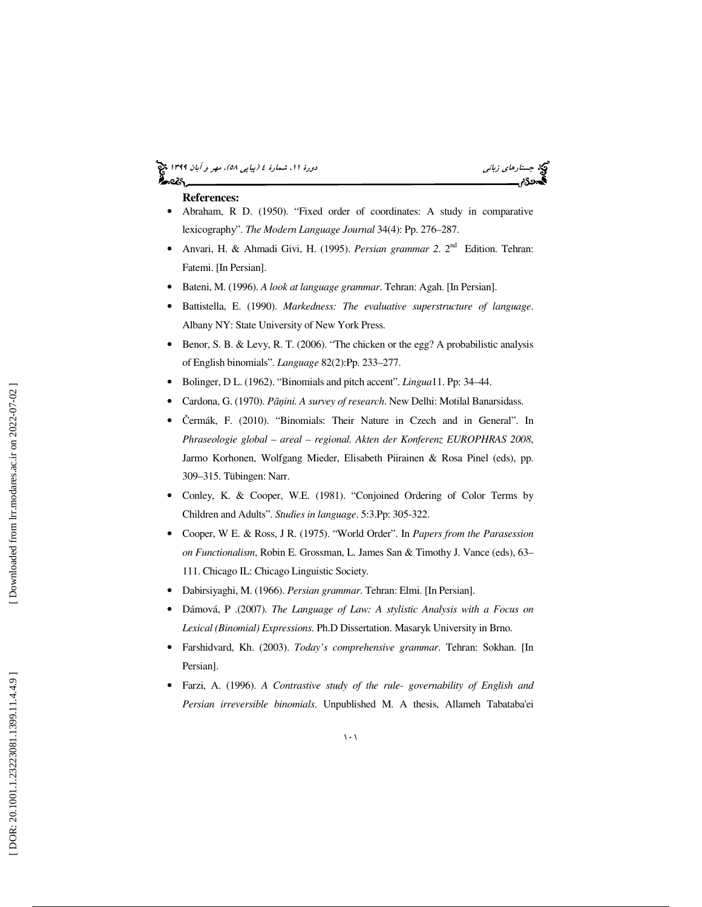#### (پياپي 58)، مهر و آبان 1399 جستارهاي زباني دورة ،11 شمارة 4 ક્રિસ્ટર

#### **References:**

- Abraham, R D. (1950). "Fixed order of coordinates: A study in comparative lexicography". *The Modern Language Journal* 34(4): Pp. 276–287.
- Anvari, H. & Ahmadi Givi, H. (1995). *Persian grammar 2*. 2nd Edition. Tehran: Fatemi. [In Persian].
- Bateni, M. (1996). *A look at language grammar*. Tehran: Agah. [In Persian].
- Battistella, E. (1990). *Markedness: The evaluative superstructure of language*. Albany NY: State University of New York Press.
- Benor, S. B. & Levy, R. T. (2006). "The chicken or the egg? A probabilistic analysis of English binomials". *Language* 82(2):Pp. 233–277.
- Bolinger, D L. (1962). "Binomials and pitch accent". *Lingua*11. Pp: 34–44.
- Cardona, G. (1970). *P*āņ*ini. A survey of research*. New Delhi: Motilal Banarsidass.
- Čermák, F. (2010). "Binomials: Their Nature in Czech and in General". In *Phraseologie global – areal – regional. Akten der Konferenz EUROPHRAS 2008*, Jarmo Korhonen, Wolfgang Mieder, Elisabeth Piirainen & Rosa Pinel (eds), pp. 309–315. Tübingen: Narr.
- Conley, K. & Cooper, W.E. (1981). "Conjoined Ordering of Color Terms by Children and Adults". *Studies in language*. 5:3.Pp: 305-322.
- Cooper, W E. & Ross, J R. (1975). "World Order". In *Papers from the Parasession on Functionalism*, Robin E. Grossman, L. James San & Timothy J. Vance (eds), 63– 111. Chicago IL: Chicago Linguistic Society.
- Dabirsiyaghi, M. (1966). *Persian grammar*. Tehran: Elmi. [In Persian].
- Dámová, P .(2007). *The Language of Law: A stylistic Analysis with a Focus on Lexical (Binomial) Expressions*. Ph.D Dissertation. Masaryk University in Brno.
- Farshidvard, Kh. (2003). *Today's comprehensive grammar*. Tehran: Sokhan. [In Persian].
- Farzi, A. (1996). *A Contrastive study of the rule- governability of English and Persian irreversible binomials*. Unpublished M. A thesis, Allameh Tabataba'ei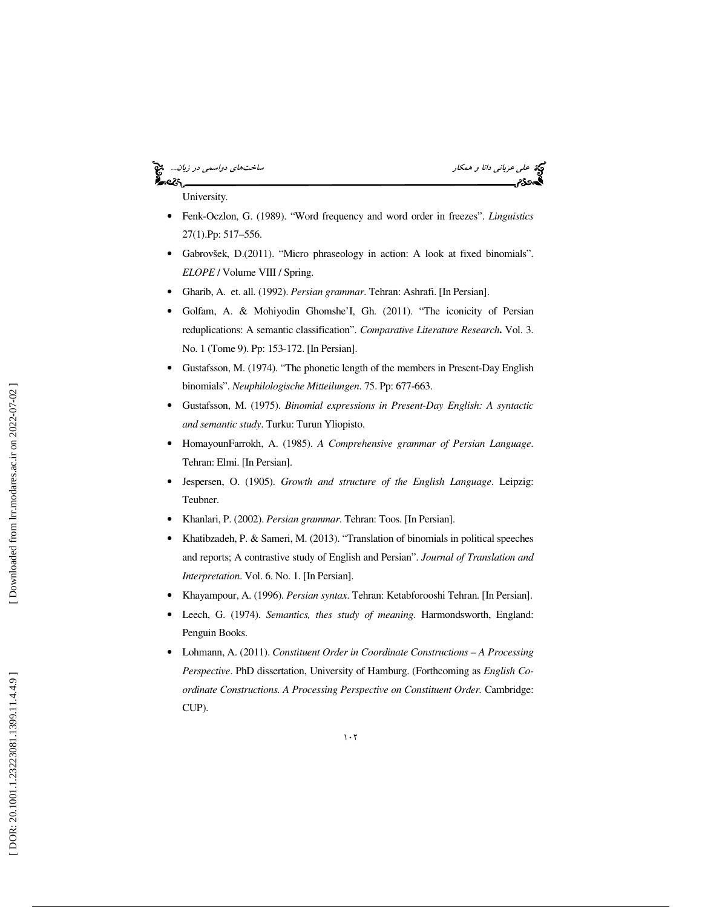## نادي.<br>حوالي

علي عرباني دانا و همكار ساختهاي دواسمي در زبان...

University.

- Fenk-Oczlon, G. (1989). "Word frequency and word order in freezes". *Linguistics*  27(1).Pp: 517–556.
- Gabrovšek, D.(2011). "Micro phraseology in action: A look at fixed binomials". *ELOPE* / Volume VIII / Spring.
- Gharib, A. et. all. (1992). *Persian grammar*. Tehran: Ashrafi. [In Persian].
- Golfam, A. & Mohiyodin Ghomshe'I, Gh. (2011). "The iconicity of Persian reduplications: A semantic classification". *Comparative Literature Research***.** Vol. 3. No. 1 (Tome 9). Pp: 153-172. [In Persian].
- Gustafsson, M. (1974). "The phonetic length of the members in Present-Day English binomials". *Neuphilologische Mitteilungen*. 75. Pp: 677-663.
- Gustafsson, M. (1975). *Binomial expressions in Present-Day English: A syntactic and semantic study*. Turku: Turun Yliopisto.
- HomayounFarrokh, A. (1985). *A Comprehensive grammar of Persian Language*. Tehran: Elmi. [In Persian].
- Jespersen, O. (1905). *Growth and structure of the English Language*. Leipzig: Teubner.
- Khanlari, P. (2002). *Persian grammar*. Tehran: Toos. [In Persian].
- Khatibzadeh, P. & Sameri, M. (2013). "Translation of binomials in political speeches and reports; A contrastive study of English and Persian". *Journal of Translation and Interpretation*. Vol. 6. No. 1. [In Persian].
- Khayampour, A. (1996). *Persian syntax*. Tehran: Ketabforooshi Tehran. [In Persian].
- Leech, G. (1974). *Semantics, thes study of meaning*. Harmondsworth, England: Penguin Books.
- Lohmann, A. (2011). *Constituent Order in Coordinate Constructions A Processing Perspective*. PhD dissertation, University of Hamburg. (Forthcoming as *English Coordinate Constructions. A Processing Perspective on Constituent Order.* Cambridge: CUP).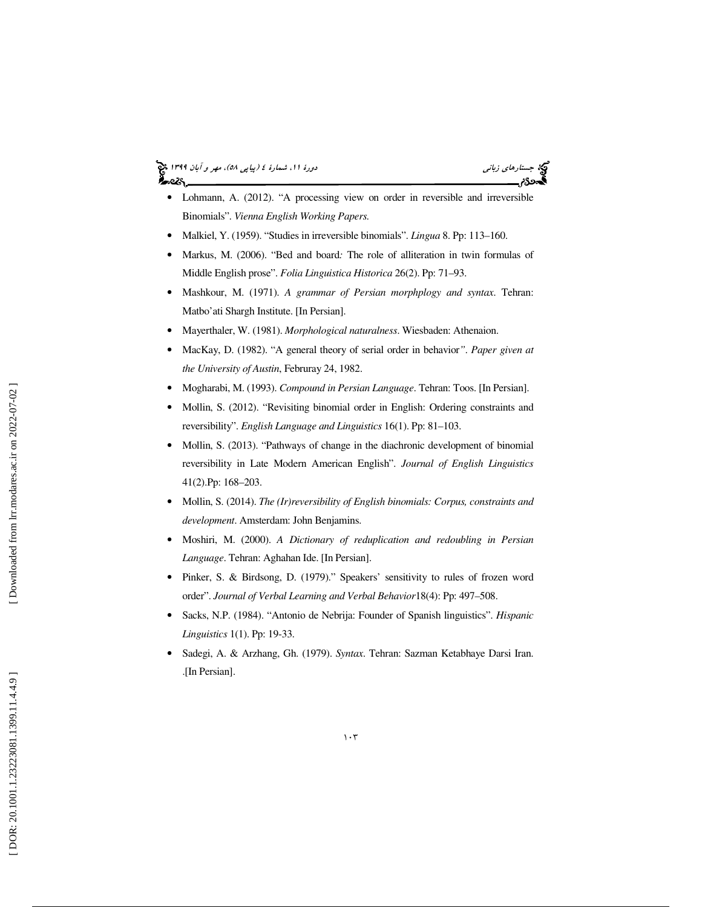(پياپي 58)، مهر و آبان 1399 جستارهاي زباني دورة ،11 شمارة 4



- Lohmann, A. (2012). "A processing view on order in reversible and irreversible Binomials". *Vienna English Working Papers.*
- Malkiel, Y. (1959). "Studies in irreversible binomials". *Lingua* 8. Pp: 113–160.
- Markus, M. (2006). "Bed and board*:* The role of alliteration in twin formulas of Middle English prose". *Folia Linguistica Historica* 26(2). Pp: 71–93.
- Mashkour, M. (1971). *A grammar of Persian morphplogy and syntax*. Tehran: Matbo'ati Shargh Institute. [In Persian].
- Mayerthaler, W. (1981). *Morphological naturalness*. Wiesbaden: Athenaion.
- MacKay, D. (1982). "A general theory of serial order in behavior*"*. *Paper given at the University of Austin*, Februray 24, 1982.
- Mogharabi, M. (1993). *Compound in Persian Language*. Tehran: Toos. [In Persian].
- Mollin, S. (2012). "Revisiting binomial order in English: Ordering constraints and reversibility". *English Language and Linguistics* 16(1). Pp: 81–103.
- Mollin, S. (2013). "Pathways of change in the diachronic development of binomial reversibility in Late Modern American English". *Journal of English Linguistics*  41(2).Pp: 168–203.
- Mollin, S. (2014). *The (Ir)reversibility of English binomials: Corpus, constraints and development*. Amsterdam: John Benjamins.
- Moshiri, M. (2000). *A Dictionary of reduplication and redoubling in Persian Language*. Tehran: Aghahan Ide. [In Persian].
- Pinker, S. & Birdsong, D. (1979)." Speakers' sensitivity to rules of frozen word order". *Journal of Verbal Learning and Verbal Behavior*18(4): Pp: 497–508.
- Sacks, N.P. (1984). "Antonio de Nebrija: Founder of Spanish linguistics". *Hispanic Linguistics* 1(1). Pp: 19-33.
- Sadegi, A. & Arzhang, Gh. (1979). *Syntax*. Tehran: Sazman Ketabhaye Darsi Iran. .[In Persian].